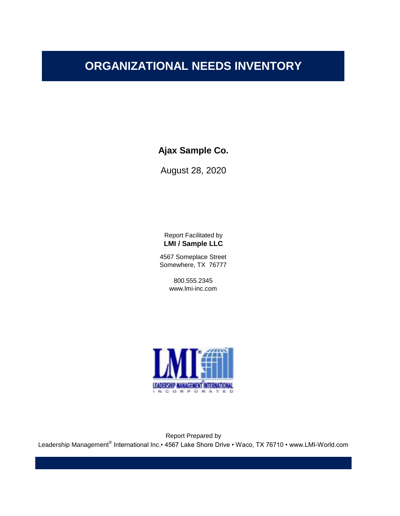**Ajax Sample Co.**

August 28, 2020

Report Facilitated by **LMI / Sample LLC**

4567 Someplace Street Somewhere, TX 76777

> 800.555.2345 www.lmi-inc.com



Report Prepared by Leadership Management® International Inc.• 4567 Lake Shore Drive • Waco, TX 76710 • www.LMI-World.com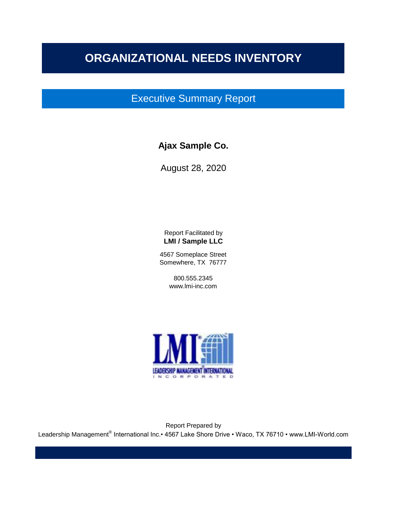## Executive Summary Report

### **Ajax Sample Co.**

August 28, 2020

Report Facilitated by **LMI / Sample LLC**

4567 Someplace Street Somewhere, TX 76777

> 800.555.2345 www.lmi-inc.com



Report Prepared by Leadership Management® International Inc.• 4567 Lake Shore Drive • Waco, TX 76710 • www.LMI-World.com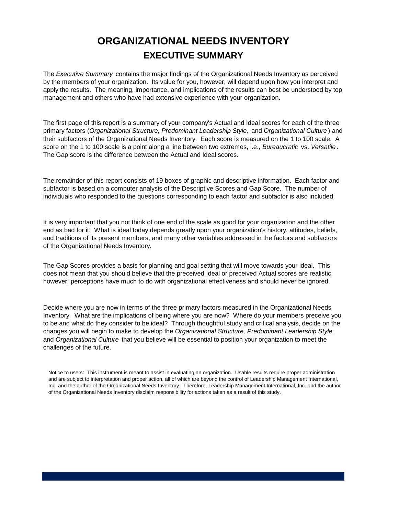## **ORGANIZATIONAL NEEDS INVENTORY EXECUTIVE SUMMARY**

The *Executive Summary* contains the major findings of the Organizational Needs Inventory as perceived by the members of your organization. Its value for you, however, will depend upon how you interpret and apply the results. The meaning, importance, and implications of the results can best be understood by top management and others who have had extensive experience with your organization.

The first page of this report is a summary of your company's Actual and Ideal scores for each of the three primary factors (*Organizational Structure, Predominant Leadership Style,* and *Organizational Culture* ) and their subfactors of the Organizational Needs Inventory. Each score is measured on the 1 to 100 scale. A score on the 1 to 100 scale is a point along a line between two extremes, i.e., *Bureaucratic* vs. *Versatile* . The Gap score is the difference between the Actual and Ideal scores.

The remainder of this report consists of 19 boxes of graphic and descriptive information. Each factor and subfactor is based on a computer analysis of the Descriptive Scores and Gap Score. The number of individuals who responded to the questions corresponding to each factor and subfactor is also included.

It is very important that you not think of one end of the scale as good for your organization and the other end as bad for it. What is ideal today depends greatly upon your organization's history, attitudes, beliefs, and traditions of its present members, and many other variables addressed in the factors and subfactors of the Organizational Needs Inventory.

The Gap Scores provides a basis for planning and goal setting that will move towards your ideal. This does not mean that you should believe that the preceived Ideal or preceived Actual scores are realistic; however, perceptions have much to do with organizational effectiveness and should never be ignored.

Decide where you are now in terms of the three primary factors measured in the Organizational Needs Inventory. What are the implications of being where you are now? Where do your members preceive you to be and what do they consider to be ideal? Through thoughtful study and critical analysis, decide on the changes you will begin to make to develop the *Organizational Structure, Predominant Leadership Style,*  and *Organizational Culture* that you believe will be essential to position your organization to meet the challenges of the future.

Notice to users: This instrument is meant to assist in evaluating an organization. Usable results require proper administration and are subject to interpretation and proper action, all of which are beyond the control of Leadership Management International, Inc. and the author of the Organizational Needs Inventory. Therefore, Leadership Management International, Inc. and the author of the Organizational Needs Inventory disclaim responsibility for actions taken as a result of this study.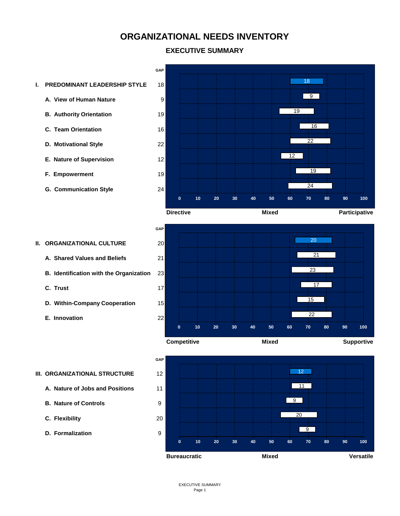#### **EXECUTIVE SUMMARY**

- **I. PREDOMINANT LEADERSHIP STYLE** 18
	- **A. View of Human Nature** 9
	- **B. Authority Orientation** 19
	- **C. Team Orientation** 16
	- **D. Motivational Style** 22
	- **E. Nature of Supervision** 12
	- **F. Empowerment** 19
	- **G. Communication Style** 24



- **A. Shared Values and Beliefs** 21
- **B. Identification with the Organization** 23
- **C. Trust** 17
- **D. Within-Company Cooperation** 15
- **E. Innovation** 22







#### **III. ORGANIZATIONAL STRUCTURE** 12

- **A. Nature of Jobs and Positions** 11
- **B. Nature of Controls** 9
- **C. Flexibility** 20
- **D. Formalization** 9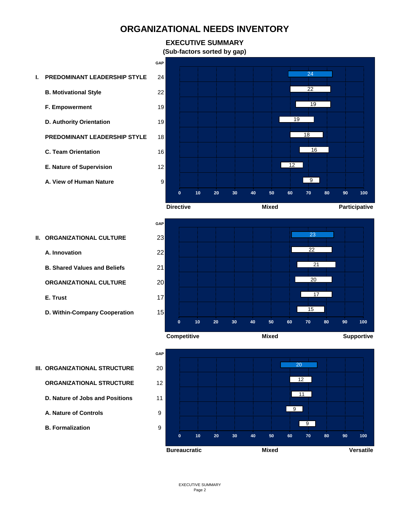## **EXECUTIVE SUMMARY**

**GAP**

**(Sub-factors sorted by gap)**

- **I. PREDOMINANT LEADERSHIP STYLE** 24
	- **B. Motivational Style** 22
	- **F. Empowerment** 19
	- **D. Authority Orientation** 19
	- **PREDOMINANT LEADERSHIP STYLE** 18
	- **C. Team Orientation** 16
	- **E. Nature of Supervision** 12
	- **A. View of Human Nature** 9





**A. Innovation** 22

**B. Shared Values and Beliefs** 21

**ORGANIZATIONAL CULTURE** 20

**E. Trust** 17

**D. Within-Company Cooperation** 15





#### **III. ORGANIZATIONAL STRUCTURE** 20

**ORGANIZATIONAL STRUCTURE** 12

- **D. Nature of Jobs and Positions** 11
- **A. Nature of Controls** 9

**B. Formalization** 9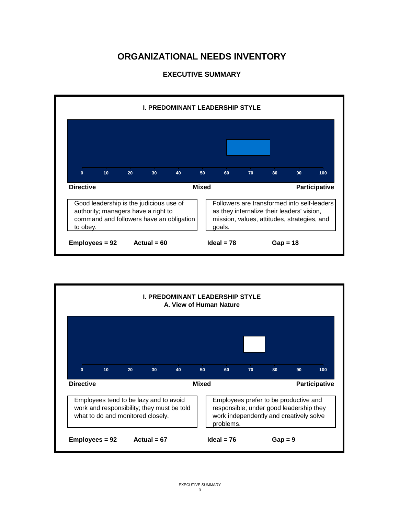

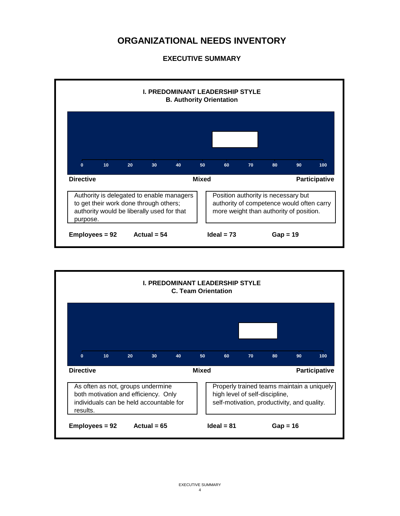

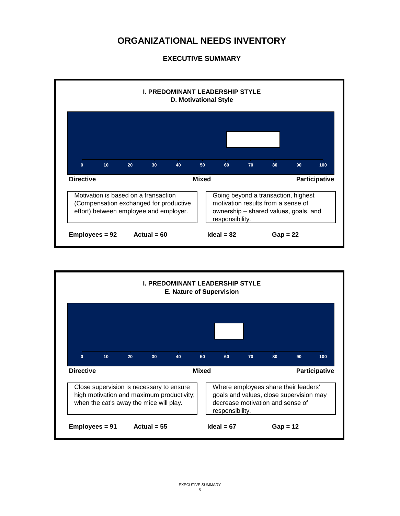

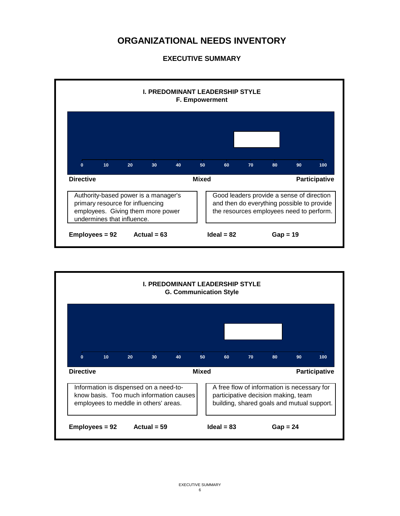

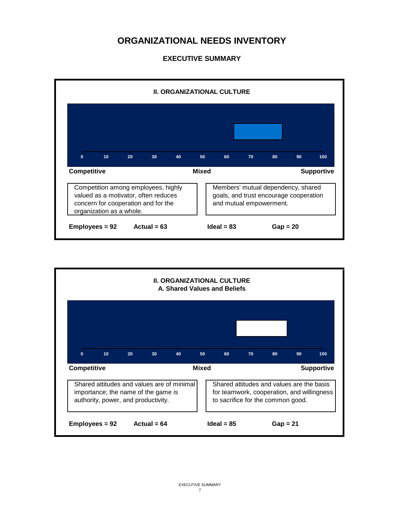

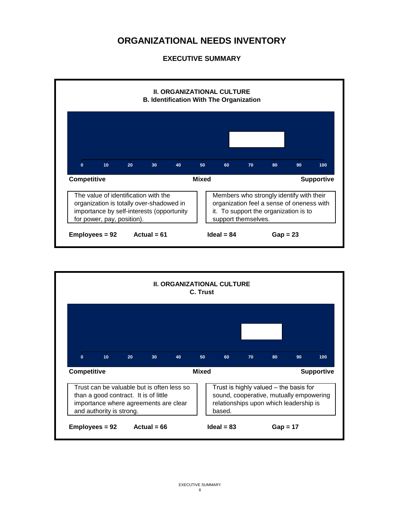

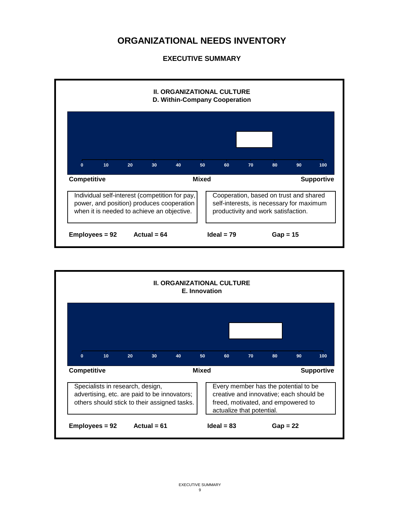

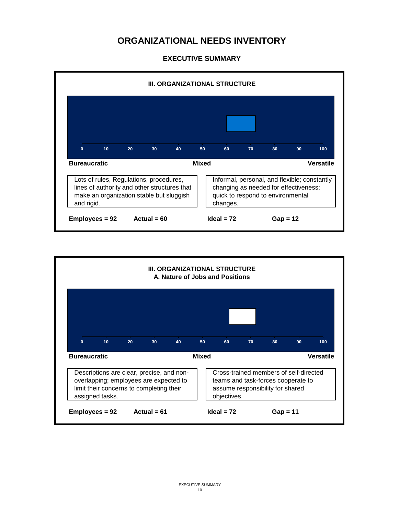

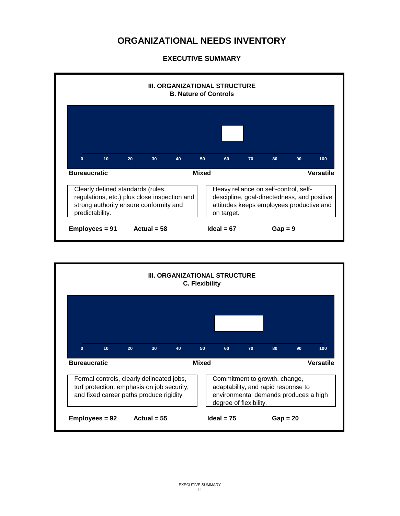

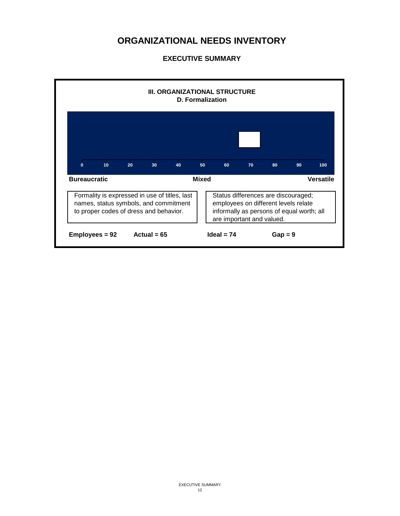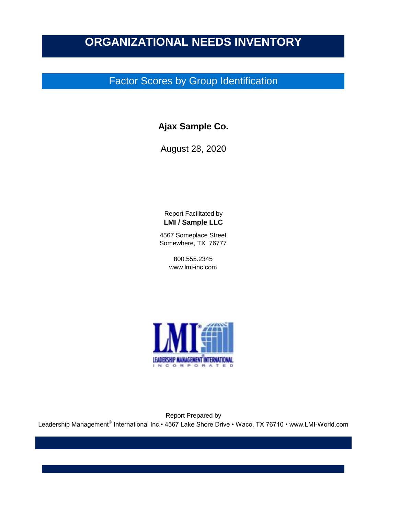## Factor Scores by Group Identification

### **Ajax Sample Co.**

August 28, 2020

Report Facilitated by **LMI / Sample LLC**

4567 Someplace Street Somewhere, TX 76777

> 800.555.2345 www.lmi-inc.com



Report Prepared by Leadership Management® International Inc.• 4567 Lake Shore Drive • Waco, TX 76710 • www.LMI-World.com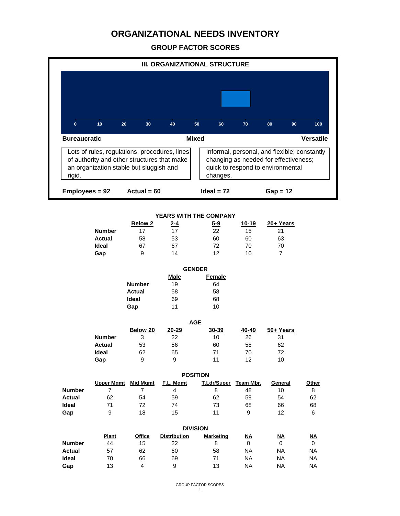**GROUP FACTOR SCORES**

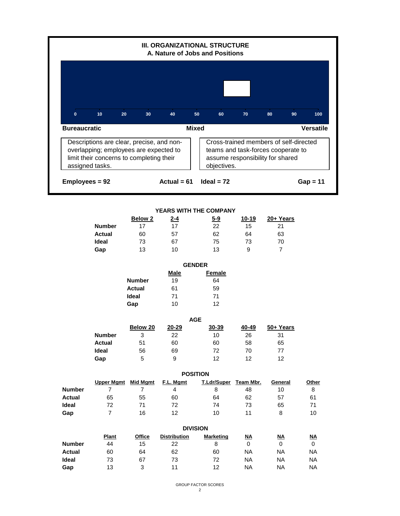

|              |                |            | <b>YEARS WITH THE COMPANY</b> |       |           |
|--------------|----------------|------------|-------------------------------|-------|-----------|
|              | <b>Below 2</b> | <u>2-4</u> | $5-9$                         | 10-19 | 20+ Years |
| Number       | 17             | 17         | 22                            | 15    | 21        |
| Actual       | 60             | 57         | 62                            | 64    | 63        |
| <b>Ideal</b> | 73             | 67         | 75                            | 73    | 70        |
| Gap          | 13             | 10         | 13                            | 9     |           |

|               | <b>GENDER</b> |               |  |  |
|---------------|---------------|---------------|--|--|
|               | Male          | <b>Female</b> |  |  |
| <b>Number</b> | 19            | 64            |  |  |
| Actual        | 61            | 59            |  |  |
| Ideal         | 71            | 71            |  |  |
| Gap           | 10            | 12            |  |  |
|               |               |               |  |  |

|               | <b>AGE</b> |       |       |       |           |  |  |
|---------------|------------|-------|-------|-------|-----------|--|--|
|               | Below 20   | 20-29 | 30-39 | 40-49 | 50+ Years |  |  |
| <b>Number</b> | 3          | 22    | 10    | 26    | 31        |  |  |
| <b>Actual</b> | 51         | 60    | 60    | 58    | 65        |  |  |
| <b>Ideal</b>  | 56         | 69    | 72    | 70    | 77        |  |  |
| Gap           | 5          | 9     | 12    | 12    | 12        |  |  |

|               | <b>POSITION</b> |          |           |                    |           |         |       |  |
|---------------|-----------------|----------|-----------|--------------------|-----------|---------|-------|--|
|               | Upper Mgmt      | Mid Mgmt | F.L. Mgmt | <b>T.Ldr/Super</b> | Team Mbr. | General | Other |  |
| <b>Number</b> |                 |          | 4         | 8                  | 48        | 10      | 8     |  |
| <b>Actual</b> | 65              | 55       | 60        | 64                 | 62        | 57      | 61    |  |
| <b>Ideal</b>  | 72              |          | 72        | 74                 | 73        | 65      | 71    |  |
| Gap           |                 | 16       | 12        | 10                 | 11        |         | 10    |  |

|               | <b>DIVISION</b> |        |                     |                  |           |           |           |  |
|---------------|-----------------|--------|---------------------|------------------|-----------|-----------|-----------|--|
|               | <b>Plant</b>    | Office | <b>Distribution</b> | <b>Marketing</b> | <u>NA</u> | <u>NA</u> | <u>NA</u> |  |
| <b>Number</b> | 44              | 15     | 22                  | 8                | 0         | 0         |           |  |
| Actual        | 60              | 64     | 62                  | 60               | ΝA        | ΝA        | <b>NA</b> |  |
| <b>Ideal</b>  | 73              | 67     | 73                  | 72               | ΝA        | ΝA        | <b>NA</b> |  |
| Gap           | 13              | 3      | 11                  | 12               | ΝA        | ΝA        | <b>NA</b> |  |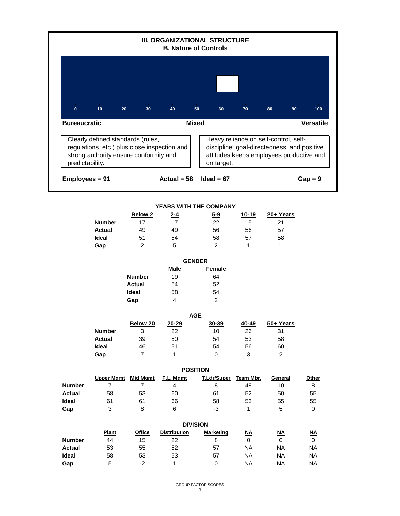|                     |                                                                                                                             |                                                       | III. ORGANIZATIONAL STRUCTURE                               | <b>B. Nature of Controls</b>               |                                     |                                                                                                                                  |                           |
|---------------------|-----------------------------------------------------------------------------------------------------------------------------|-------------------------------------------------------|-------------------------------------------------------------|--------------------------------------------|-------------------------------------|----------------------------------------------------------------------------------------------------------------------------------|---------------------------|
|                     |                                                                                                                             |                                                       |                                                             |                                            |                                     |                                                                                                                                  |                           |
| $\mathbf{0}$        | 10<br>20                                                                                                                    | 30                                                    | 40                                                          | 50<br>60                                   | 70                                  | 80<br>90                                                                                                                         | 100                       |
| <b>Bureaucratic</b> |                                                                                                                             |                                                       |                                                             | <b>Mixed</b>                               |                                     |                                                                                                                                  | <b>Versatile</b>          |
| predictability.     | Clearly defined standards (rules,<br>regulations, etc.) plus close inspection and<br>strong authority ensure conformity and |                                                       |                                                             | on target.                                 |                                     | Heavy reliance on self-control, self-<br>discipline, goal-directedness, and positive<br>attitudes keeps employees productive and |                           |
| Employees = 91      |                                                                                                                             |                                                       | Actual = $58$                                               | Ideal = $67$                               |                                     |                                                                                                                                  | $Gap = 9$                 |
|                     |                                                                                                                             |                                                       |                                                             |                                            |                                     |                                                                                                                                  |                           |
|                     | <b>Number</b><br>Actual<br>Ideal<br>Gap                                                                                     | <b>Below 2</b><br>17<br>49<br>51<br>$\overline{2}$    | YEARS WITH THE COMPANY<br><u>2-4</u><br>17<br>49<br>54<br>5 | 5-9<br>22<br>56<br>58<br>$\overline{2}$    | <u>10-19</u><br>15<br>56<br>57<br>1 | 20+ Years<br>21<br>57<br>58<br>$\mathbf{1}$                                                                                      |                           |
|                     |                                                                                                                             |                                                       |                                                             | <b>GENDER</b>                              |                                     |                                                                                                                                  |                           |
|                     |                                                                                                                             | <b>Number</b><br><b>Actual</b><br><b>Ideal</b><br>Gap | <b>Male</b><br>19<br>54<br>58<br>4                          | Female<br>64<br>52<br>54<br>$\overline{2}$ |                                     |                                                                                                                                  |                           |
|                     |                                                                                                                             |                                                       |                                                             | <b>AGE</b>                                 |                                     |                                                                                                                                  |                           |
|                     | <b>Number</b><br><b>Actual</b><br>Ideal<br>Gap                                                                              | Below 20<br>3<br>39<br>46<br>$\overline{7}$           | $20 - 29$<br>22<br>50<br>51<br>$\mathbf{1}$                 | 30-39<br>10 <sub>1</sub><br>54<br>54<br>0  | $40 - 49$<br>26<br>53<br>56<br>3    | 50+ Years<br>31<br>58<br>60<br>$\overline{a}$                                                                                    |                           |
|                     |                                                                                                                             |                                                       |                                                             | <b>POSITION</b>                            |                                     |                                                                                                                                  |                           |
| <b>Number</b>       | <b>Upper Mgmt</b> Mid Mgmt<br>$\overline{7}$                                                                                | $\overline{7}$                                        | F.L. Mamt<br>$\overline{4}$                                 | <b>T.Ldr/Super</b><br>8                    | Team Mbr.<br>48                     | General<br>10                                                                                                                    | Other<br>8                |
| <b>Actual</b>       | 58                                                                                                                          | 53                                                    | 60                                                          | 61                                         | 52                                  | 50                                                                                                                               | 55                        |
| Ideal               | 61                                                                                                                          | 61                                                    | 66                                                          | 58                                         | 53                                  | 55                                                                                                                               | 55                        |
| Gap                 | 3                                                                                                                           | 8                                                     | 6                                                           | $-3$                                       | 1                                   | 5                                                                                                                                | $\mathbf 0$               |
|                     |                                                                                                                             |                                                       |                                                             | <b>DIVISION</b>                            |                                     |                                                                                                                                  |                           |
|                     | Plant                                                                                                                       | <b>Office</b>                                         | <b>Distribution</b>                                         | <b>Marketing</b>                           | $\underline{\mathsf{NA}}$           | $\underline{\mathsf{NA}}$                                                                                                        | $\underline{\mathsf{NA}}$ |
| <b>Number</b>       | 44                                                                                                                          | 15                                                    | 22                                                          | 8                                          | $\mathbf{0}$                        | 0                                                                                                                                | $\mathbf 0$               |
| <b>Actual</b>       | 53                                                                                                                          | 55                                                    | 52                                                          | 57                                         | <b>NA</b>                           | <b>NA</b>                                                                                                                        | <b>NA</b>                 |
| Ideal               | 58                                                                                                                          | 53                                                    | 53                                                          | 57                                         | <b>NA</b>                           | NA                                                                                                                               | NA                        |
| Gap                 | 5                                                                                                                           | $-2$                                                  | $\mathbf{1}$                                                | 0                                          | <b>NA</b>                           | <b>NA</b>                                                                                                                        | <b>NA</b>                 |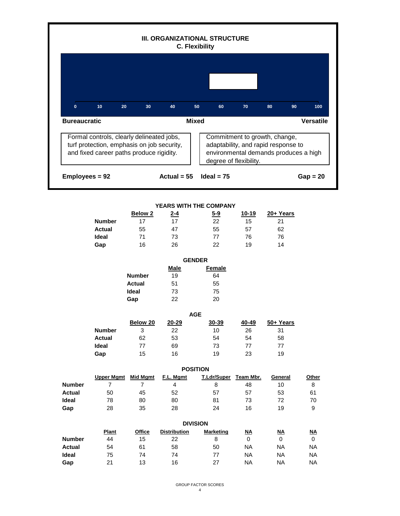|                     |                                                                                                                                     |                | III. ORGANIZATIONAL STRUCTURE | <b>C. Flexibility</b> |                                                                                                                                         |                           |                           |
|---------------------|-------------------------------------------------------------------------------------------------------------------------------------|----------------|-------------------------------|-----------------------|-----------------------------------------------------------------------------------------------------------------------------------------|---------------------------|---------------------------|
|                     |                                                                                                                                     |                |                               |                       |                                                                                                                                         |                           |                           |
| $\mathbf{0}$        | 10<br>20                                                                                                                            | 30             | 40                            | 50<br>60              | 70                                                                                                                                      | 90<br>80                  | 100                       |
| <b>Bureaucratic</b> |                                                                                                                                     |                |                               | <b>Mixed</b>          |                                                                                                                                         |                           | <b>Versatile</b>          |
|                     | Formal controls, clearly delineated jobs,<br>turf protection, emphasis on job security,<br>and fixed career paths produce rigidity. |                |                               |                       | Commitment to growth, change,<br>adaptability, and rapid response to<br>environmental demands produces a high<br>degree of flexibility. |                           |                           |
| Employees = 92      |                                                                                                                                     |                | Actual = $55$                 | Ideal = $75$          |                                                                                                                                         |                           | $Gap = 20$                |
|                     |                                                                                                                                     |                |                               |                       |                                                                                                                                         |                           |                           |
|                     |                                                                                                                                     |                | YEARS WITH THE COMPANY        |                       |                                                                                                                                         |                           |                           |
|                     |                                                                                                                                     | Below 2        | <u>2-4</u>                    | $5-9$                 | <u>10-19</u>                                                                                                                            | 20+ Years                 |                           |
|                     | <b>Number</b>                                                                                                                       | 17             | 17                            | 22                    | 15                                                                                                                                      | 21                        |                           |
|                     | <b>Actual</b>                                                                                                                       | 55             | 47                            | 55                    | 57                                                                                                                                      | 62                        |                           |
|                     | Ideal                                                                                                                               | 71             | 73                            | 77                    | 76                                                                                                                                      | 76                        |                           |
|                     | Gap                                                                                                                                 | 16             | 26                            | 22                    | 19                                                                                                                                      | 14                        |                           |
|                     |                                                                                                                                     |                |                               | <b>GENDER</b>         |                                                                                                                                         |                           |                           |
|                     |                                                                                                                                     |                | <b>Male</b>                   | <b>Female</b>         |                                                                                                                                         |                           |                           |
|                     |                                                                                                                                     | <b>Number</b>  | 19                            | 64                    |                                                                                                                                         |                           |                           |
|                     |                                                                                                                                     | <b>Actual</b>  | 51                            | 55                    |                                                                                                                                         |                           |                           |
|                     |                                                                                                                                     | Ideal          | 73                            | 75                    |                                                                                                                                         |                           |                           |
|                     |                                                                                                                                     |                |                               |                       |                                                                                                                                         |                           |                           |
|                     |                                                                                                                                     | Gap            | 22                            | 20                    |                                                                                                                                         |                           |                           |
|                     |                                                                                                                                     |                |                               | <b>AGE</b>            |                                                                                                                                         |                           |                           |
|                     |                                                                                                                                     | Below 20       | $20 - 29$                     | 30-39                 | $40 - 49$                                                                                                                               | 50+ Years                 |                           |
|                     | <b>Number</b>                                                                                                                       | 3              | 22                            | 10                    | 26                                                                                                                                      | 31                        |                           |
|                     | <b>Actual</b>                                                                                                                       | 62             | 53                            | 54                    | 54                                                                                                                                      | 58                        |                           |
|                     | Ideal                                                                                                                               | $77 \,$        | 69                            | 73                    | 77                                                                                                                                      | 77                        |                           |
|                     | Gap                                                                                                                                 | 15             | 16                            | 19                    | 23                                                                                                                                      | 19                        |                           |
|                     |                                                                                                                                     |                |                               |                       |                                                                                                                                         |                           |                           |
|                     |                                                                                                                                     |                |                               | <b>POSITION</b>       |                                                                                                                                         |                           |                           |
|                     | <b>Upper Mgmt</b> Mid Mgmt                                                                                                          |                | F.L. Mgmt                     | T.Ldr/Super           | Team Mbr.                                                                                                                               | General                   | Other                     |
| <b>Number</b>       | $\overline{7}$                                                                                                                      | $\overline{7}$ | $\overline{4}$                | 8                     | 48                                                                                                                                      | 10                        | 8                         |
| <b>Actual</b>       | 50                                                                                                                                  | 45             | 52                            | 57                    | 57                                                                                                                                      | 53                        | 61                        |
| Ideal               | 78                                                                                                                                  | 80             | 80                            | 81                    | 73                                                                                                                                      | 72                        | 70                        |
| Gap                 | 28                                                                                                                                  | 35             | 28                            | 24                    | 16                                                                                                                                      | 19                        | 9                         |
|                     |                                                                                                                                     |                |                               | <b>DIVISION</b>       |                                                                                                                                         |                           |                           |
|                     | Plant                                                                                                                               | Office         | <b>Distribution</b>           | <b>Marketing</b>      | $\underline{\mathsf{NA}}$                                                                                                               | $\underline{\mathsf{NA}}$ | $\underline{\mathsf{NA}}$ |
| <b>Number</b>       | 44                                                                                                                                  | 15             | 22                            | 8                     | $\mathbf 0$                                                                                                                             | $\mathbf 0$               | $\mathbf 0$               |
| <b>Actual</b>       | 54                                                                                                                                  | 61             | 58                            | 50                    | <b>NA</b>                                                                                                                               | <b>NA</b>                 | <b>NA</b>                 |
| Ideal               | 75                                                                                                                                  | 74             | 74                            | 77                    | <b>NA</b>                                                                                                                               | <b>NA</b>                 | <b>NA</b>                 |
| Gap                 | 21                                                                                                                                  | 13             | 16                            | 27                    | <b>NA</b>                                                                                                                               | <b>NA</b>                 | <b>NA</b>                 |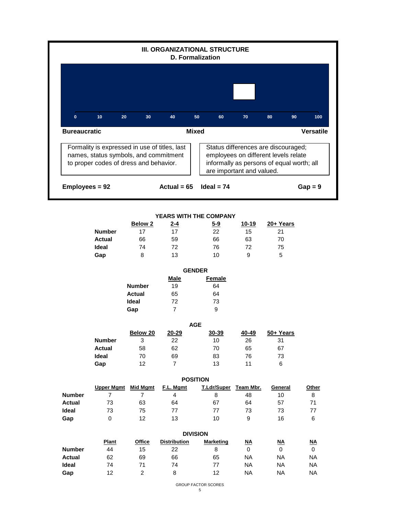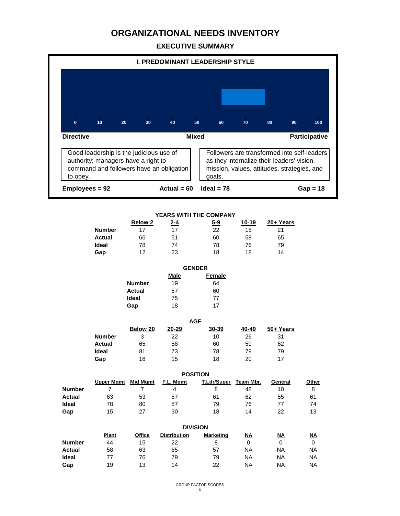

|               | <b>GENDER</b> |               |  |  |
|---------------|---------------|---------------|--|--|
|               | Male          | <b>Female</b> |  |  |
| <b>Number</b> | 19            | 64            |  |  |
| <b>Actual</b> | 57            | 60            |  |  |
| Ideal         | 75            | 77            |  |  |
| Gap           | 18            | 17            |  |  |

| <b>AGE</b>    |          |       |       |       |           |  |  |
|---------------|----------|-------|-------|-------|-----------|--|--|
|               | Below 20 | 20-29 | 30-39 | 40-49 | 50+ Years |  |  |
| <b>Number</b> | 3        | 22    | 10    | 26    | 31        |  |  |
| <b>Actual</b> | 65       | 58    | 60    | 59    | 62        |  |  |
| <b>Ideal</b>  | 81       | 73    | 78    | 79    | 79        |  |  |
| Gap           | 16       | 15    | 18    | 20    | 17        |  |  |

|               | <b>POSITION</b>   |          |           |                    |           |         |       |  |  |
|---------------|-------------------|----------|-----------|--------------------|-----------|---------|-------|--|--|
|               | <b>Upper Mgmt</b> | Mid Mgmt | F.L. Mgmt | <b>T.Ldr/Super</b> | Team Mbr. | General | Other |  |  |
| <b>Number</b> |                   |          | 4         |                    | 48        | 10      |       |  |  |
| Actual        | 63                | 53       | 57        | 61                 | 62        | 55      | 61    |  |  |
| Ideal         | 78                | 80       | 87        | 79                 | 76        |         | 74    |  |  |
| Gap           | 15                | 27       | 30        | 18                 | 14        | 22      | 13    |  |  |

|               | <b>DIVISION</b> |               |                     |                  |           |           |           |  |
|---------------|-----------------|---------------|---------------------|------------------|-----------|-----------|-----------|--|
|               | <b>Plant</b>    | <b>Office</b> | <b>Distribution</b> | <b>Marketing</b> | <u>NA</u> | <u>NA</u> | ΝA        |  |
| <b>Number</b> | 44              | 15            | 22                  | 8                |           |           |           |  |
| <b>Actual</b> | 58              | 63            | 65                  | 57               | ΝA        | ΝA        | ΝA        |  |
| Ideal         | 77              | 76            | 79                  | 79               | ΝA        | <b>NA</b> | <b>NA</b> |  |
| Gap           | 19              | 13            | 14                  | 22               | ΝA        | ΝA        | ΝA        |  |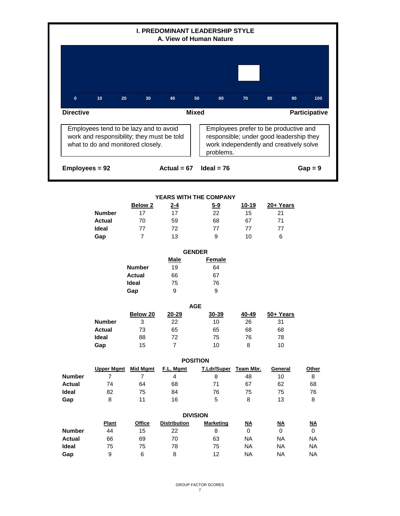

|               | <b>DIVISION</b> |        |                     |                  |    |    |           |  |
|---------------|-----------------|--------|---------------------|------------------|----|----|-----------|--|
|               | <b>Plant</b>    | Office | <b>Distribution</b> | <b>Marketing</b> | ΝA | ΝA | ΝA        |  |
| <b>Number</b> | 44              | 15     | 22                  |                  | 0  |    |           |  |
| <b>Actual</b> | 66              | 69     | 70                  | 63               | NA | ΝA | <b>NA</b> |  |
| Ideal         | 75              | 75     | 78                  | 75               | NA | ΝA | <b>NA</b> |  |
| Gap           | 9               | 6      | 8                   | 12               | NA | ΝA | <b>NA</b> |  |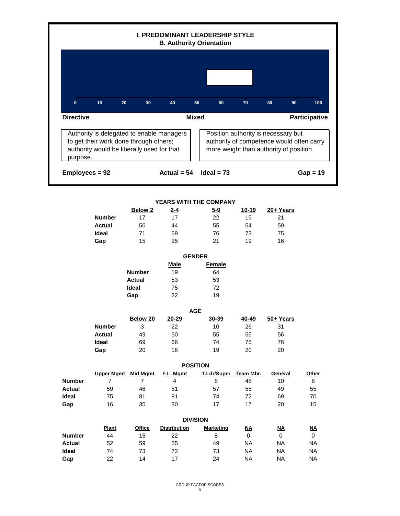

|               | <b>DIVISION</b> |        |                     |                  |           |    |           |  |  |  |
|---------------|-----------------|--------|---------------------|------------------|-----------|----|-----------|--|--|--|
|               | <b>Plant</b>    | Office | <b>Distribution</b> | <b>Marketing</b> | <u>NA</u> | ΝA | <u>NA</u> |  |  |  |
| <b>Number</b> | 44              | 15     | 22                  |                  |           |    | 0         |  |  |  |
| Actual        | 52              | 59     | 55                  | 49               | ΝA        | ΝA | <b>NA</b> |  |  |  |
| <b>Ideal</b>  | 74              | 73     | 72                  | 73               | ΝA        | ΝA | NA.       |  |  |  |
| Gap           | 22              | 14     | 17                  | 24               | ΝA        | ΝA | NA.       |  |  |  |
|               |                 |        |                     |                  |           |    |           |  |  |  |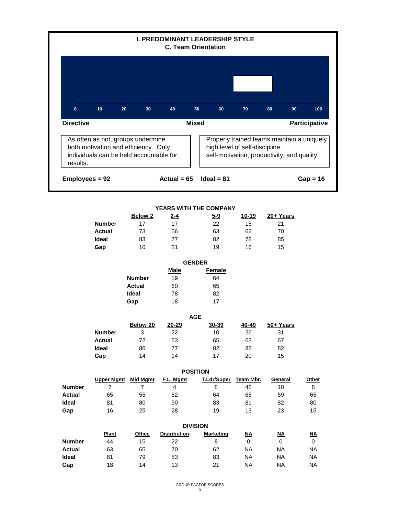

|        | <b>Below 2</b> | <u>2-4</u> | <u>5-9</u> | 10-19 | 20+ Years |
|--------|----------------|------------|------------|-------|-----------|
| Number | 17             | 17         | 22         | 15    | 21        |
| Actual | 73             | 56         | 63         | 62    | 70        |
| Ideal  | 83             | 77         | 82         | 78    | 85        |
| Gap    | 10             | 21         | 19         | 16    | 15        |

|               | <b>GENDER</b> |               |  |  |  |
|---------------|---------------|---------------|--|--|--|
|               | Male          | <b>Female</b> |  |  |  |
| <b>Number</b> | 19            | 64            |  |  |  |
| Actual        | 60            | 65            |  |  |  |
| Ideal         | 78            | 82            |  |  |  |
| Gap           | 18            | 17            |  |  |  |
|               |               |               |  |  |  |

|               |          |           | <b>AGE</b> |       |           |
|---------------|----------|-----------|------------|-------|-----------|
|               | Below 20 | $20 - 29$ | 30-39      | 40-49 | 50+ Years |
| <b>Number</b> | 3        | 22        | 10         | 26    | 31        |
| <b>Actual</b> | 72       | 63        | 65         | 63    | 67        |
| <b>Ideal</b>  | 86       | 77        | 82         | 83    | 82        |
| Gap           | 14       | 14        | 17         | 20    | 15        |

|               | <b>POSITION</b>   |                 |           |             |           |         |       |  |  |
|---------------|-------------------|-----------------|-----------|-------------|-----------|---------|-------|--|--|
|               | <b>Upper Mgmt</b> | <b>Mid Mgmt</b> | F.L. Mgmt | T.Ldr/Super | Team Mbr. | General | Other |  |  |
| <b>Number</b> |                   |                 | 4         | 8           | 48        | 10      | 8     |  |  |
| Actual        | 65                | 55              | 62        | 64          | 68        | 59      | 65    |  |  |
| <b>Ideal</b>  | 81                | 80              | 90        | 83          | 81        | 82      | 80    |  |  |
| Gap           | 16                | 25              | 28        | 19          | 13        | 23      | 15    |  |  |

|               | <b>DIVISION</b> |               |                     |                  |           |           |           |  |
|---------------|-----------------|---------------|---------------------|------------------|-----------|-----------|-----------|--|
|               | <b>Plant</b>    | <b>Office</b> | <b>Distribution</b> | <b>Marketing</b> | <u>NA</u> | <u>NA</u> | <u>NA</u> |  |
| <b>Number</b> | 44              | 15            | 22                  | 8                | 0         | 0         |           |  |
| Actual        | 63              | 65            | 70                  | 62               | <b>NA</b> | ΝA        | <b>NA</b> |  |
| Ideal         | 81              | 79            | 83                  | 83               | ΝA        | ΝA        | <b>NA</b> |  |
| Gap           | 18              | 14            | 13                  | 21               | ΝA        | ΝA        | <b>NA</b> |  |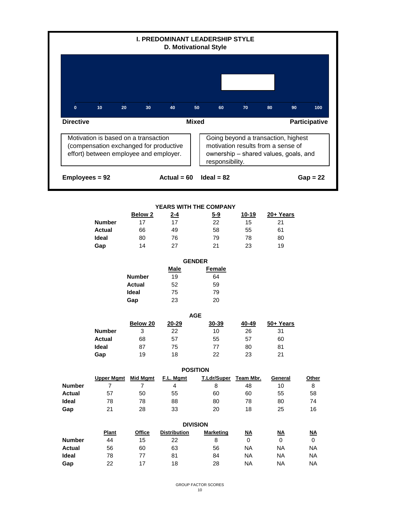|                  |                                                                                                                          |                    |                     | <b>I. PREDOMINANT LEADERSHIP STYLE</b><br>D. Motivational Style |                                                                                                                    |           |               |
|------------------|--------------------------------------------------------------------------------------------------------------------------|--------------------|---------------------|-----------------------------------------------------------------|--------------------------------------------------------------------------------------------------------------------|-----------|---------------|
|                  |                                                                                                                          |                    |                     |                                                                 |                                                                                                                    |           |               |
| $\mathbf{0}$     | 10<br>20                                                                                                                 | 30                 | 40                  | 50<br>60                                                        | 70                                                                                                                 | 90<br>80  | 100           |
| <b>Directive</b> |                                                                                                                          |                    |                     | <b>Mixed</b>                                                    |                                                                                                                    |           | Participative |
|                  | Motivation is based on a transaction<br>(compensation exchanged for productive<br>effort) between employee and employer. |                    |                     | responsibility.                                                 | Going beyond a transaction, highest<br>motivation results from a sense of<br>ownership - shared values, goals, and |           |               |
| Employees = 92   |                                                                                                                          |                    | Actual = $60$       | $Ideal = 82$                                                    |                                                                                                                    |           | $Gap = 22$    |
|                  |                                                                                                                          |                    |                     |                                                                 |                                                                                                                    |           |               |
|                  |                                                                                                                          | Below <sub>2</sub> | 2-4                 | YEARS WITH THE COMPANY<br>$5-9$                                 | <u>10-19</u>                                                                                                       | 20+ Years |               |
|                  | <b>Number</b>                                                                                                            | 17                 | 17                  | 22                                                              | 15                                                                                                                 | 21        |               |
|                  | <b>Actual</b>                                                                                                            | 66                 | 49                  | 58                                                              | 55                                                                                                                 | 61        |               |
|                  | <b>Ideal</b>                                                                                                             | 80                 | 76                  | 79                                                              | 78                                                                                                                 | 80        |               |
|                  |                                                                                                                          | 14                 | 27                  | 21                                                              | 23                                                                                                                 | 19        |               |
|                  | Gap                                                                                                                      |                    |                     |                                                                 |                                                                                                                    |           |               |
|                  |                                                                                                                          |                    |                     | <b>GENDER</b>                                                   |                                                                                                                    |           |               |
|                  |                                                                                                                          |                    | Male                | Female                                                          |                                                                                                                    |           |               |
|                  |                                                                                                                          | <b>Number</b>      | 19                  | 64                                                              |                                                                                                                    |           |               |
|                  |                                                                                                                          | Actual             | 52                  | 59                                                              |                                                                                                                    |           |               |
|                  |                                                                                                                          | Ideal              | 75                  | 79                                                              |                                                                                                                    |           |               |
|                  |                                                                                                                          | Gap                | 23                  | 20                                                              |                                                                                                                    |           |               |
|                  |                                                                                                                          |                    |                     | <b>AGE</b>                                                      |                                                                                                                    |           |               |
|                  |                                                                                                                          | Below 20           | 20-29               | 30-39                                                           | 40-49                                                                                                              | 50+ Years |               |
|                  | <b>Number</b>                                                                                                            | 3                  | 22                  | 10 <sub>1</sub>                                                 | 26                                                                                                                 | 31        |               |
|                  | <b>Actual</b>                                                                                                            | 68                 | 57                  | 55                                                              | 57                                                                                                                 | 60        |               |
|                  | Ideal                                                                                                                    | 87                 | 75                  | 77                                                              | 80                                                                                                                 | 81        |               |
|                  | Gap                                                                                                                      | 19                 | 18                  | 22                                                              | 23                                                                                                                 | 21        |               |
|                  |                                                                                                                          |                    |                     | <b>POSITION</b>                                                 |                                                                                                                    |           |               |
|                  | <b>Upper Mgmt</b>                                                                                                        | <b>Mid Mgmt</b>    | F.L. Mgmt           | T.Ldr/Super                                                     | Team Mbr.                                                                                                          | General   | Other         |
| <b>Number</b>    | $\overline{7}$                                                                                                           | $\overline{7}$     | 4                   | 8                                                               | 48                                                                                                                 | 10        | 8             |
|                  | 57                                                                                                                       | 50                 | 55                  | 60                                                              | 60                                                                                                                 | 55        | 58            |
| <b>Actual</b>    |                                                                                                                          |                    |                     |                                                                 |                                                                                                                    |           |               |
| Ideal            | 78                                                                                                                       | 78                 | 88                  | 80                                                              | 78                                                                                                                 | 80        | 74            |
| Gap              | 21                                                                                                                       | 28                 | 33                  | 20                                                              | 18                                                                                                                 | 25        | 16            |
|                  |                                                                                                                          |                    |                     | <b>DIVISION</b>                                                 |                                                                                                                    |           |               |
|                  | Plant                                                                                                                    | <b>Office</b>      | <b>Distribution</b> | <b>Marketing</b>                                                |                                                                                                                    | <u>NA</u> | <u>NA</u>     |
| <b>Number</b>    | 44                                                                                                                       | 15                 | 22                  | 8                                                               | $\underline{\mathsf{NA}}$<br>0                                                                                     | 0         | $\mathbf 0$   |
| <b>Actual</b>    | 56                                                                                                                       | 60                 | 63                  | 56                                                              | <b>NA</b>                                                                                                          | <b>NA</b> | NA            |

**Gap** 22 17 18 28 NA NA NA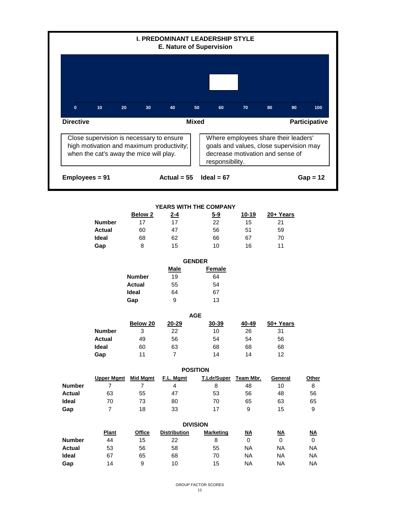|                                                |                                                                                                                                  |                     | <b>I. PREDOMINANT LEADERSHIP STYLE</b><br><b>E. Nature of Supervision</b> |                 |                       |                                                                                                                     |                          |                                          |
|------------------------------------------------|----------------------------------------------------------------------------------------------------------------------------------|---------------------|---------------------------------------------------------------------------|-----------------|-----------------------|---------------------------------------------------------------------------------------------------------------------|--------------------------|------------------------------------------|
|                                                |                                                                                                                                  |                     |                                                                           |                 |                       |                                                                                                                     |                          |                                          |
| $\mathbf{0}$                                   | 10<br>20                                                                                                                         | 30                  | 40                                                                        | 50              | 60                    | 70                                                                                                                  | 80<br>90                 | 100                                      |
| <b>Directive</b>                               |                                                                                                                                  |                     |                                                                           | <b>Mixed</b>    |                       |                                                                                                                     |                          | Participative                            |
|                                                | Close supervision is necessary to ensure<br>high motivation and maximum productivity;<br>when the cat's away the mice will play. |                     |                                                                           |                 | responsibility.       | Where employees share their leaders'<br>goals and values, close supervision may<br>decrease motivation and sense of |                          |                                          |
| Employees = 91                                 |                                                                                                                                  |                     | Actual = $55$                                                             |                 | $Ideal = 67$          |                                                                                                                     |                          | $Gap = 12$                               |
|                                                |                                                                                                                                  |                     |                                                                           |                 |                       |                                                                                                                     |                          |                                          |
|                                                |                                                                                                                                  | <b>Below 2</b>      | YEARS WITH THE COMPANY<br><u>2-4</u>                                      |                 | $5-9$                 | $10 - 19$                                                                                                           | 20+ Years                |                                          |
|                                                | <b>Number</b>                                                                                                                    | 17                  | 17                                                                        |                 | 22                    | 15                                                                                                                  | 21                       |                                          |
|                                                | <b>Actual</b>                                                                                                                    | 60                  | 47                                                                        |                 | 56                    | 51                                                                                                                  | 59                       |                                          |
|                                                | <b>Ideal</b>                                                                                                                     | 68                  | 62                                                                        |                 | 66                    | 67                                                                                                                  | 70                       |                                          |
|                                                | Gap                                                                                                                              | 8                   | 15                                                                        |                 | 10                    | 16                                                                                                                  | 11                       |                                          |
|                                                |                                                                                                                                  |                     |                                                                           |                 |                       |                                                                                                                     |                          |                                          |
|                                                |                                                                                                                                  |                     |                                                                           | <b>GENDER</b>   |                       |                                                                                                                     |                          |                                          |
|                                                |                                                                                                                                  |                     | <b>Male</b>                                                               |                 | <b>Female</b>         |                                                                                                                     |                          |                                          |
|                                                |                                                                                                                                  | <b>Number</b>       | 19                                                                        |                 | 64                    |                                                                                                                     |                          |                                          |
|                                                |                                                                                                                                  | <b>Actual</b>       | 55                                                                        |                 | 54                    |                                                                                                                     |                          |                                          |
|                                                |                                                                                                                                  | Ideal               | 64                                                                        |                 | 67                    |                                                                                                                     |                          |                                          |
|                                                |                                                                                                                                  | Gap                 | 9                                                                         |                 | 13                    |                                                                                                                     |                          |                                          |
|                                                |                                                                                                                                  |                     |                                                                           | <b>AGE</b>      |                       |                                                                                                                     |                          |                                          |
|                                                |                                                                                                                                  | Below 20            | $20 - 29$                                                                 |                 | 30-39                 | 40-49                                                                                                               | 50+ Years                |                                          |
|                                                | <b>Number</b>                                                                                                                    | 3                   | 22                                                                        |                 | 10                    | 26                                                                                                                  | 31                       |                                          |
|                                                |                                                                                                                                  |                     |                                                                           |                 |                       | 54                                                                                                                  | 56                       |                                          |
|                                                | <b>Actual</b>                                                                                                                    | 49                  | 56                                                                        |                 | 54                    |                                                                                                                     |                          |                                          |
|                                                | Ideal                                                                                                                            | 60                  | 63                                                                        |                 | 68                    | 68                                                                                                                  | 68                       |                                          |
|                                                | Gap                                                                                                                              | 11                  | $\overline{7}$                                                            |                 | 14                    | 14                                                                                                                  | 12                       |                                          |
|                                                |                                                                                                                                  |                     |                                                                           | <b>POSITION</b> |                       |                                                                                                                     |                          |                                          |
|                                                | <b>Upper Mgmt</b>                                                                                                                | <b>Mid Mgmt</b>     | F.L. Mgmt                                                                 |                 | T.Ldr/Super           | Team Mbr.                                                                                                           | General                  | Other                                    |
|                                                | $\overline{7}$                                                                                                                   | $\mathbf{7}$        | 4                                                                         |                 | 8                     | 48                                                                                                                  | 10                       | 8                                        |
|                                                | 63                                                                                                                               | 55                  | 47                                                                        |                 | 53                    | 56                                                                                                                  | 48                       | 56                                       |
|                                                | 70                                                                                                                               | 73                  | 80                                                                        |                 | 70                    | 65                                                                                                                  | 63                       | 65                                       |
| <b>Number</b><br><b>Actual</b><br>Ideal<br>Gap | $\overline{7}$                                                                                                                   | 18                  | 33                                                                        |                 | 17                    | 9                                                                                                                   | 15                       | 9                                        |
|                                                |                                                                                                                                  |                     |                                                                           |                 |                       |                                                                                                                     |                          |                                          |
|                                                |                                                                                                                                  |                     |                                                                           | <b>DIVISION</b> |                       |                                                                                                                     |                          |                                          |
| <b>Number</b>                                  | Plant<br>44                                                                                                                      | <b>Office</b><br>15 | <b>Distribution</b><br>22                                                 |                 | <b>Marketing</b><br>8 | $\underline{\mathsf{NA}}$<br>$\mathbf 0$                                                                            | <u>NA</u><br>$\mathbf 0$ | $\underline{\mathsf{NA}}$<br>$\mathbf 0$ |
| <b>Actual</b>                                  | 53                                                                                                                               | 56                  | 58                                                                        |                 | 55                    | <b>NA</b>                                                                                                           | NA                       | <b>NA</b>                                |

**Gap** 14 9 10 15 NA NA NA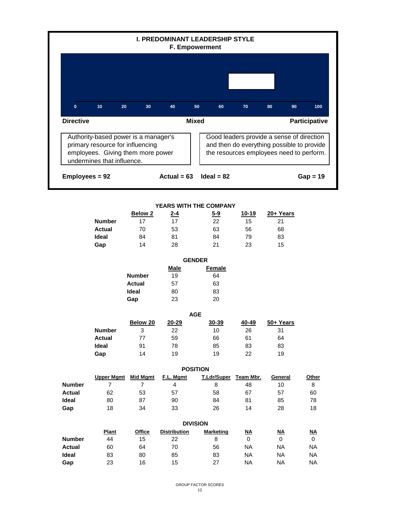|                  |                                                                                                                                             |                    | <b>I. PREDOMINANT LEADERSHIP STYLE</b><br>F. Empowerment |                 |                  |                           |                                                                                                                                     |                      |
|------------------|---------------------------------------------------------------------------------------------------------------------------------------------|--------------------|----------------------------------------------------------|-----------------|------------------|---------------------------|-------------------------------------------------------------------------------------------------------------------------------------|----------------------|
|                  |                                                                                                                                             |                    |                                                          |                 |                  |                           |                                                                                                                                     |                      |
| $\mathbf{0}$     | 10<br>20                                                                                                                                    | 30                 | 40                                                       | 50              | 60               | 70                        | 80<br>90                                                                                                                            | 100                  |
| <b>Directive</b> |                                                                                                                                             |                    |                                                          | <b>Mixed</b>    |                  |                           |                                                                                                                                     | <b>Participative</b> |
|                  | Authority-based power is a manager's<br>primary resource for influencing<br>employees. Giving them more power<br>undermines that influence. |                    |                                                          |                 |                  |                           | Good leaders provide a sense of direction<br>and then do everything possible to provide<br>the resources employees need to perform. |                      |
| Employees = 92   |                                                                                                                                             |                    | Actual = $63$                                            |                 | $Ideal = 82$     |                           |                                                                                                                                     | $Gap = 19$           |
|                  |                                                                                                                                             |                    |                                                          |                 |                  |                           |                                                                                                                                     |                      |
|                  |                                                                                                                                             |                    | YEARS WITH THE COMPANY                                   |                 |                  |                           |                                                                                                                                     |                      |
|                  |                                                                                                                                             | Below <sub>2</sub> | <u>2-4</u>                                               |                 | <u>5-9</u>       | $10 - 19$                 | 20+ Years                                                                                                                           |                      |
|                  | <b>Number</b>                                                                                                                               | 17                 | 17                                                       |                 | 22               | 15                        | 21                                                                                                                                  |                      |
|                  | <b>Actual</b>                                                                                                                               | 70                 | 53                                                       |                 | 63               | 56                        | 68                                                                                                                                  |                      |
|                  | Ideal                                                                                                                                       | 84                 | 81                                                       |                 | 84               | 79                        | 83                                                                                                                                  |                      |
|                  | Gap                                                                                                                                         | 14                 | 28                                                       |                 | 21               | 23                        | 15                                                                                                                                  |                      |
|                  |                                                                                                                                             |                    |                                                          | <b>GENDER</b>   |                  |                           |                                                                                                                                     |                      |
|                  |                                                                                                                                             |                    | <b>Male</b>                                              |                 | <b>Female</b>    |                           |                                                                                                                                     |                      |
|                  |                                                                                                                                             | <b>Number</b>      | 19                                                       |                 | 64               |                           |                                                                                                                                     |                      |
|                  |                                                                                                                                             | <b>Actual</b>      | 57                                                       |                 | 63               |                           |                                                                                                                                     |                      |
|                  |                                                                                                                                             | <b>Ideal</b>       | 80                                                       |                 | 83               |                           |                                                                                                                                     |                      |
|                  |                                                                                                                                             | Gap                | 23                                                       |                 | 20               |                           |                                                                                                                                     |                      |
|                  |                                                                                                                                             |                    |                                                          | <b>AGE</b>      |                  |                           |                                                                                                                                     |                      |
|                  |                                                                                                                                             | Below 20           | $20 - 29$                                                |                 | 30-39            | 40-49                     | 50+ Years                                                                                                                           |                      |
|                  | <b>Number</b>                                                                                                                               | 3                  | 22                                                       |                 | 10               | 26                        | 31                                                                                                                                  |                      |
|                  | <b>Actual</b>                                                                                                                               | $77$               | 59                                                       |                 | 66               | 61                        | 64                                                                                                                                  |                      |
|                  | Ideal                                                                                                                                       | 91                 | 78                                                       |                 | 85               | 83                        | 83                                                                                                                                  |                      |
|                  | Gap                                                                                                                                         | 14                 | 19                                                       |                 | 19               | 22                        | 19                                                                                                                                  |                      |
|                  |                                                                                                                                             |                    |                                                          | <b>POSITION</b> |                  |                           |                                                                                                                                     |                      |
|                  | <b>Upper Mgmt</b> Mid Mgmt                                                                                                                  |                    | F.L. Mgmt                                                |                 | T.Ldr/Super      | Team Mbr.                 | General                                                                                                                             | Other                |
| <b>Number</b>    | $\overline{7}$                                                                                                                              | $\overline{7}$     | 4                                                        |                 | 8                | 48                        | 10                                                                                                                                  | 8                    |
| <b>Actual</b>    | 62                                                                                                                                          | 53                 | 57                                                       |                 | 58               | 67                        | 57                                                                                                                                  | 60                   |
| Ideal            | 80                                                                                                                                          | 87                 | 90                                                       |                 | 84               | 81                        | 85                                                                                                                                  | 78                   |
| Gap              | 18                                                                                                                                          | 34                 | 33                                                       |                 | 26               | 14                        | 28                                                                                                                                  | 18                   |
|                  |                                                                                                                                             |                    |                                                          | <b>DIVISION</b> |                  |                           |                                                                                                                                     |                      |
|                  | <b>Plant</b>                                                                                                                                | <b>Office</b>      | <b>Distribution</b>                                      |                 | <b>Marketing</b> | $\underline{\mathsf{NA}}$ | $\underline{\mathsf{NA}}$                                                                                                           | <u>NA</u>            |
| <b>Number</b>    | 44                                                                                                                                          | 15                 | 22                                                       |                 | 8                | 0                         | 0                                                                                                                                   | 0                    |
| <b>Actual</b>    | 60                                                                                                                                          | 64                 | 70                                                       |                 | 56               | <b>NA</b>                 | <b>NA</b>                                                                                                                           | <b>NA</b>            |
| Ideal            | 83                                                                                                                                          | 80                 | 85                                                       |                 | 83               | <b>NA</b>                 | NA                                                                                                                                  | <b>NA</b>            |
| Gap              | 23                                                                                                                                          | 16                 | 15                                                       |                 | 27               | <b>NA</b>                 | <b>NA</b>                                                                                                                           | <b>NA</b>            |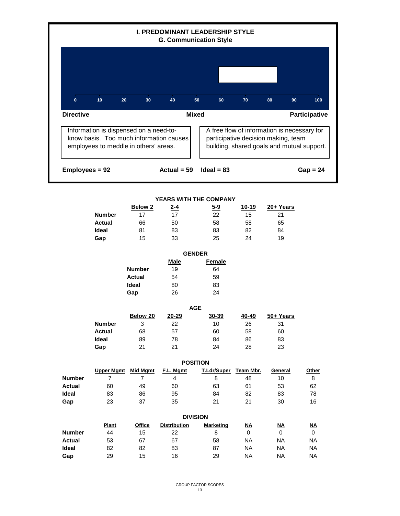

#### **YEARS WITH THE COMPANY**

|               | <b>Below 2</b> | <u>2-4</u> | $5 - 9$ | 10-19 | 20+ Years |
|---------------|----------------|------------|---------|-------|-----------|
| <b>Number</b> |                | 17         | 22      | 15    | 21        |
| <b>Actual</b> | 66             | 50         | 58      | 58    | 65        |
| <b>Ideal</b>  | 81             | 83         | 83      | 82    | 84        |
| Gap           | 15             | 33         | 25      | 24    | 19        |

**Male Female Number** 19 64 **Actual** 54 59 **Ideal** 80 83 Gap 26 24 **GENDER**

| <b>AGE</b>    |          |       |       |       |           |  |  |  |  |
|---------------|----------|-------|-------|-------|-----------|--|--|--|--|
|               | Below 20 | 20-29 | 30-39 | 40-49 | 50+ Years |  |  |  |  |
| <b>Number</b> | 3        | 22    | 10    | 26    | 31        |  |  |  |  |
| <b>Actual</b> | 68       | 57    | 60    | 58    | 60        |  |  |  |  |
| Ideal         | 89       | 78    | 84    | 86    | 83        |  |  |  |  |
| Gap           | 21       | 21    | 24    | 28    | 23        |  |  |  |  |

|               | <b>POSITION</b>   |          |           |                    |           |         |       |  |  |
|---------------|-------------------|----------|-----------|--------------------|-----------|---------|-------|--|--|
|               | <b>Upper Mgmt</b> | Mid Mgmt | F.L. Mgmt | <b>T.Ldr/Super</b> | Team Mbr. | General | Other |  |  |
| <b>Number</b> |                   |          | 4         | 8                  | 48        | 10      | 8     |  |  |
| <b>Actual</b> | 60                | 49       | 60        | 63                 | 61        | 53      | 62    |  |  |
| Ideal         | 83                | 86       | 95        | 84                 | 82        | 83      | 78    |  |  |
| Gap           | 23                | 37       | 35        | 21                 | 21        | 30      | 16    |  |  |

|               |              | <b>DIVISION</b> |                     |                  |           |           |           |  |  |  |  |  |  |
|---------------|--------------|-----------------|---------------------|------------------|-----------|-----------|-----------|--|--|--|--|--|--|
|               | <b>Plant</b> | <b>Office</b>   | <b>Distribution</b> | <b>Marketing</b> | <u>NA</u> | <u>NA</u> | <u>NA</u> |  |  |  |  |  |  |
| <b>Number</b> | 44           | 15              | 22                  | 8                | 0         |           |           |  |  |  |  |  |  |
| <b>Actual</b> | 53           | 67              | 67                  | 58               | <b>NA</b> | NA        | <b>NA</b> |  |  |  |  |  |  |
| <b>Ideal</b>  | 82           | 82              | 83                  | 87               | <b>NA</b> | NA        | ΝA        |  |  |  |  |  |  |
| Gap           | 29           | 15              | 16                  | 29               | ΝA        | ΝA        | ΝA        |  |  |  |  |  |  |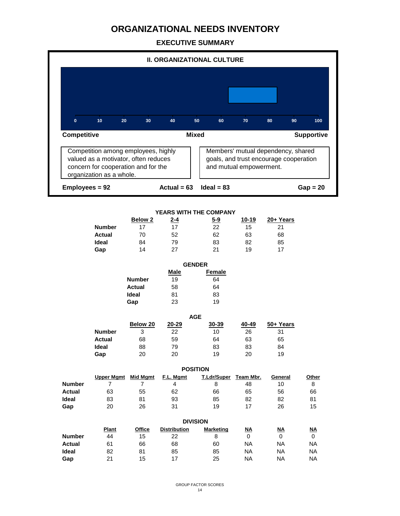|                    |                                                                                                                                                |                      | <b>II. ORGANIZATIONAL CULTURE</b> |              |                  |                           |                                                                              |                   |
|--------------------|------------------------------------------------------------------------------------------------------------------------------------------------|----------------------|-----------------------------------|--------------|------------------|---------------------------|------------------------------------------------------------------------------|-------------------|
|                    |                                                                                                                                                |                      |                                   |              |                  |                           |                                                                              |                   |
| $\mathbf{0}$       | 10 <sub>1</sub><br>20                                                                                                                          | 30                   | 40                                | 50           | 60               | 70                        | 80<br>90                                                                     | 100               |
| <b>Competitive</b> |                                                                                                                                                |                      |                                   | <b>Mixed</b> |                  |                           |                                                                              | <b>Supportive</b> |
|                    | Competition among employees, highly<br>valued as a motivator, often reduces<br>concern for cooperation and for the<br>organization as a whole. |                      |                                   |              |                  | and mutual empowerment.   | Members' mutual dependency, shared<br>goals, and trust encourage cooperation |                   |
| Employees = 92     |                                                                                                                                                |                      | Actual = $63$                     |              | $Ideal = 83$     |                           |                                                                              | $Gap = 20$        |
|                    |                                                                                                                                                |                      |                                   |              |                  |                           |                                                                              |                   |
|                    |                                                                                                                                                |                      | YEARS WITH THE COMPANY            |              |                  |                           |                                                                              |                   |
|                    | <b>Number</b>                                                                                                                                  | <b>Below 2</b><br>17 | <u>2-4</u><br>17                  |              | <u>5-9</u><br>22 | 10-19<br>15               | 20+ Years<br>21                                                              |                   |
|                    | <b>Actual</b>                                                                                                                                  | 70                   | 52                                |              | 62               | 63                        | 68                                                                           |                   |
|                    | Ideal                                                                                                                                          | 84                   | 79                                |              | 83               | 82                        | 85                                                                           |                   |
|                    | Gap                                                                                                                                            | 14                   | 27                                |              | 21               | 19                        | 17                                                                           |                   |
|                    |                                                                                                                                                |                      |                                   |              |                  |                           |                                                                              |                   |
|                    |                                                                                                                                                |                      | <b>GENDER</b><br><b>Male</b>      |              | <b>Female</b>    |                           |                                                                              |                   |
|                    |                                                                                                                                                | <b>Number</b>        | 19                                |              | 64               |                           |                                                                              |                   |
|                    |                                                                                                                                                | <b>Actual</b>        | 58                                |              | 64               |                           |                                                                              |                   |
|                    |                                                                                                                                                | Ideal                | 81                                |              | 83               |                           |                                                                              |                   |
|                    |                                                                                                                                                | Gap                  | 23                                |              | 19               |                           |                                                                              |                   |
|                    |                                                                                                                                                |                      |                                   | <b>AGE</b>   |                  |                           |                                                                              |                   |
|                    |                                                                                                                                                | <b>Below 20</b>      | 20-29                             |              | 30-39            | 40-49                     | 50+ Years                                                                    |                   |
|                    | <b>Number</b>                                                                                                                                  | 3                    | 22                                |              | 10               | 26                        | 31                                                                           |                   |
|                    | <b>Actual</b>                                                                                                                                  | 68                   | 59                                |              | 64               | 63                        | 65                                                                           |                   |
|                    | Ideal                                                                                                                                          | 88                   | 79                                |              | 83               | 83                        | 84                                                                           |                   |
|                    | Gap                                                                                                                                            | 20                   | 20                                |              | 19               | 20                        | 19                                                                           |                   |
|                    |                                                                                                                                                |                      | <b>POSITION</b>                   |              |                  |                           |                                                                              |                   |
|                    | <b>Upper Mgmt</b> Mid Mgmt                                                                                                                     |                      | F.L. Mgmt                         |              | T.Ldr/Super      | Team Mbr.                 | General                                                                      | Other             |
| <b>Number</b>      | $\overline{7}$                                                                                                                                 | $\overline{7}$       | $\overline{4}$                    |              | 8                | 48                        | 10                                                                           | 8                 |
| <b>Actual</b>      | 63                                                                                                                                             | 55                   | 62                                |              | 66               | 65                        | 56                                                                           | 66                |
| Ideal              | 83                                                                                                                                             | 81                   | 93                                |              | 85               | 82                        | 82                                                                           | 81                |
| Gap                | 20                                                                                                                                             | 26                   | 31                                |              | 19               | 17                        | 26                                                                           | 15                |
|                    |                                                                                                                                                |                      | <b>DIVISION</b>                   |              |                  |                           |                                                                              |                   |
|                    | Plant                                                                                                                                          | <b>Office</b>        | <b>Distribution</b>               |              | <b>Marketing</b> | $\underline{\mathsf{NA}}$ | <u>NA</u>                                                                    | $\underline{NA}$  |
| <b>Number</b>      | 44                                                                                                                                             | 15                   | 22                                |              | 8                | $\mathbf 0$               | $\mathbf 0$                                                                  | $\mathbf 0$       |
| <b>Actual</b>      | 61                                                                                                                                             | 66                   | 68                                |              | 60               | <b>NA</b>                 | <b>NA</b>                                                                    | NA                |
| Ideal              | 82                                                                                                                                             | 81                   | 85                                |              | 85               | <b>NA</b>                 | NA                                                                           | <b>NA</b>         |
| Gap                | 21                                                                                                                                             | 15                   | 17                                |              | 25               | <b>NA</b>                 | <b>NA</b>                                                                    | <b>NA</b>         |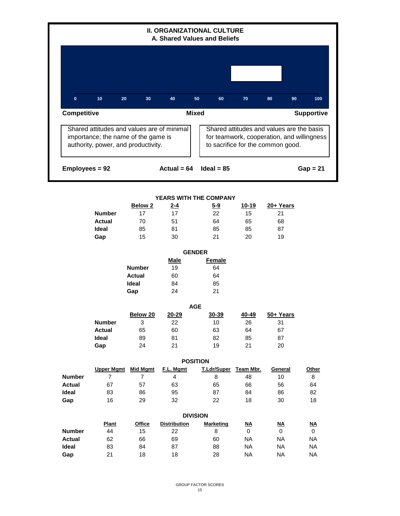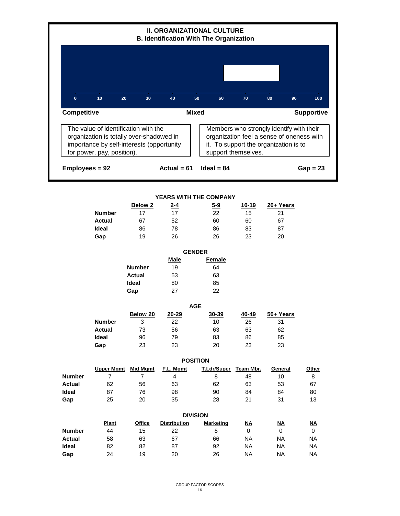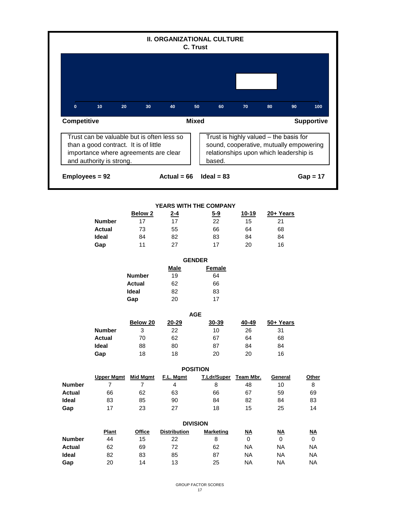|                                                                                                                                                                                                                                                                                                   |                                                       |                                                     | <b>II. ORGANIZATIONAL CULTURE</b>                            | C. Trust                                   |                                                                       |                                                                                 |                                                                                 |  |  |  |  |  |
|---------------------------------------------------------------------------------------------------------------------------------------------------------------------------------------------------------------------------------------------------------------------------------------------------|-------------------------------------------------------|-----------------------------------------------------|--------------------------------------------------------------|--------------------------------------------|-----------------------------------------------------------------------|---------------------------------------------------------------------------------|---------------------------------------------------------------------------------|--|--|--|--|--|
|                                                                                                                                                                                                                                                                                                   |                                                       |                                                     |                                                              |                                            |                                                                       |                                                                                 |                                                                                 |  |  |  |  |  |
| $\mathbf{0}$                                                                                                                                                                                                                                                                                      | 10<br>20                                              | 30                                                  | 40                                                           | 50<br>60                                   | 70                                                                    | 80<br>90                                                                        | 100                                                                             |  |  |  |  |  |
| <b>Mixed</b><br>Competitive<br><b>Supportive</b>                                                                                                                                                                                                                                                  |                                                       |                                                     |                                                              |                                            |                                                                       |                                                                                 |                                                                                 |  |  |  |  |  |
| Trust is highly valued - the basis for<br>Trust can be valuable but is often less so<br>than a good contract. It is of little<br>sound, cooperative, mutually empowering<br>importance where agreements are clear<br>relationships upon which leadership is<br>and authority is strong.<br>based. |                                                       |                                                     |                                                              |                                            |                                                                       |                                                                                 |                                                                                 |  |  |  |  |  |
| Employees = 92                                                                                                                                                                                                                                                                                    |                                                       |                                                     | Actual = $66$                                                | $Ideal = 83$                               |                                                                       |                                                                                 | $Gap = 17$                                                                      |  |  |  |  |  |
|                                                                                                                                                                                                                                                                                                   | <b>Number</b><br><b>Actual</b><br>Ideal<br>Gap        | <b>Below 2</b><br>17<br>73<br>84<br>11              | YEARS WITH THE COMPANY<br><u>2-4</u><br>17<br>55<br>82<br>27 | <u>5-9</u><br>22<br>66<br>83<br>17         | $10 - 19$<br>15<br>64<br>84<br>20                                     | 20+ Years<br>21<br>68<br>84<br>16                                               |                                                                                 |  |  |  |  |  |
|                                                                                                                                                                                                                                                                                                   |                                                       |                                                     |                                                              | <b>GENDER</b>                              |                                                                       |                                                                                 |                                                                                 |  |  |  |  |  |
|                                                                                                                                                                                                                                                                                                   |                                                       | <b>Number</b><br><b>Actual</b><br>Ideal<br>Gap      | <b>Male</b><br>19<br>62<br>82<br>20                          | <b>Female</b><br>64<br>66<br>83<br>17      |                                                                       |                                                                                 |                                                                                 |  |  |  |  |  |
|                                                                                                                                                                                                                                                                                                   |                                                       |                                                     |                                                              | <b>AGE</b>                                 |                                                                       |                                                                                 |                                                                                 |  |  |  |  |  |
|                                                                                                                                                                                                                                                                                                   | <b>Number</b><br><b>Actual</b><br>Ideal<br>Gap        | Below 20<br>3<br>$70\,$<br>88<br>18                 | $20 - 29$<br>22<br>62<br>80<br>18                            | 30-39<br>10 <sub>1</sub><br>67<br>87<br>20 | 40-49<br>26<br>64<br>84<br>20                                         | 50+ Years<br>31<br>68<br>84<br>16                                               |                                                                                 |  |  |  |  |  |
|                                                                                                                                                                                                                                                                                                   |                                                       |                                                     |                                                              | <b>POSITION</b>                            |                                                                       |                                                                                 |                                                                                 |  |  |  |  |  |
| <b>Number</b><br><b>Actual</b><br>Ideal<br>Gap                                                                                                                                                                                                                                                    | <b>Upper Mgmt</b><br>$\overline{7}$<br>66<br>83<br>17 | <b>Mid Mgmt</b><br>$\overline{7}$<br>62<br>85<br>23 | F.L. Mgmt<br>$\overline{4}$<br>63<br>90<br>27                | T.Ldr/Super<br>8<br>66<br>84<br>18         | Team Mbr.<br>48<br>67<br>82<br>15                                     | General<br>10<br>59<br>84<br>25                                                 | Other<br>8<br>69<br>83<br>14                                                    |  |  |  |  |  |
|                                                                                                                                                                                                                                                                                                   |                                                       |                                                     |                                                              | <b>DIVISION</b>                            |                                                                       |                                                                                 |                                                                                 |  |  |  |  |  |
| <b>Number</b><br><b>Actual</b><br>Ideal<br>Gap                                                                                                                                                                                                                                                    | <b>Plant</b><br>44<br>62<br>82<br>20                  | <b>Office</b><br>15<br>69<br>83<br>14               | <b>Distribution</b><br>22<br>72<br>85<br>13                  | <b>Marketing</b><br>8<br>62<br>87<br>25    | $\underline{\mathsf{NA}}$<br>0<br><b>NA</b><br><b>NA</b><br><b>NA</b> | $\underline{\mathsf{NA}}$<br>$\mathbf 0$<br><b>NA</b><br><b>NA</b><br><b>NA</b> | $\underline{\mathsf{NA}}$<br>$\mathbf 0$<br><b>NA</b><br><b>NA</b><br><b>NA</b> |  |  |  |  |  |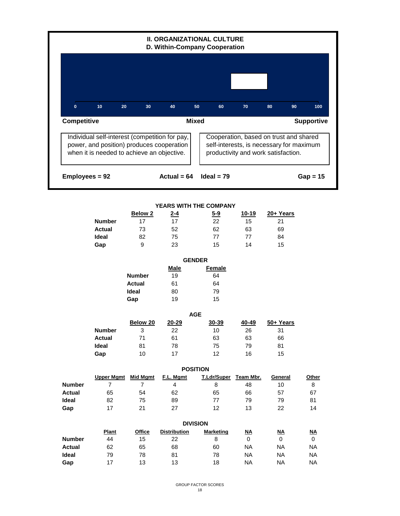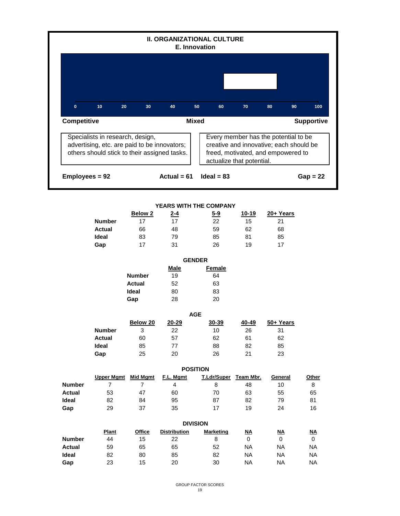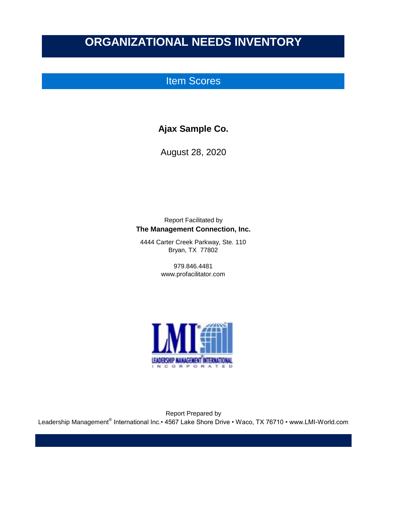## Item Scores

### **Ajax Sample Co.**

August 28, 2020

Report Facilitated by **The Management Connection, Inc.**

4444 Carter Creek Parkway, Ste. 110 Bryan, TX 77802

> 979.846.4481 www.profacilitator.com



Report Prepared by Leadership Management® International Inc.• 4567 Lake Shore Drive • Waco, TX 76710 • www.LMI-World.com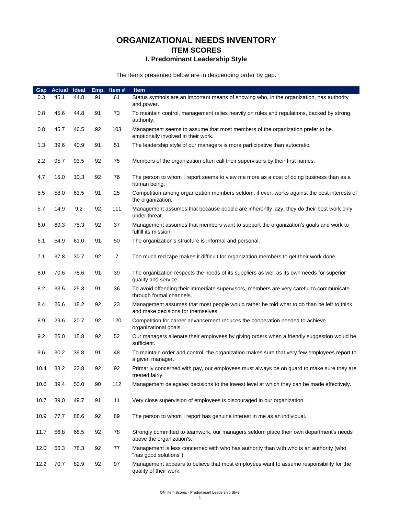### **ORGANIZATIONAL NEEDS INVENTORY ITEM SCORES I. Predominant Leadership Style**

The items presented below are in descending order by gap.

| Gap  | <b>Actual</b> | Ideal | Emp. | Item#          | <b>Item</b>                                                                                                                     |
|------|---------------|-------|------|----------------|---------------------------------------------------------------------------------------------------------------------------------|
| 0.3  | 45.1          | 44.8  | 91   | 61             | Status symbols are an important means of showing who, in the organization, has authority<br>and power.                          |
| 0.8  | 45.6          | 44.8  | 91   | 73             | To maintain control, management relies heavily on rules and regulations, backed by strong<br>authority.                         |
| 0.8  | 45.7          | 46.5  | 92   | 103            | Management seems to assume that most members of the organization prefer to be<br>emotionally involved in their work.            |
| 1.3  | 39.6          | 40.9  | 91   | 51             | The leadership style of our managers is more participative than autocratic.                                                     |
| 2.2  | 95.7          | 93.5  | 92   | 75             | Members of the organization often call their supervisors by their first names.                                                  |
| 4.7  | 15.0          | 10.3  | 92   | 76             | The person to whom I report seems to view me more as a cost of doing business than as a<br>human being.                         |
| 5.5  | 58.0          | 63.5  | 91   | 25             | Competition among organization members seldom, if ever, works against the best interests of<br>the organization.                |
| 5.7  | 14.9          | 9.2   | 92   | 111            | Management assumes that because people are inherently lazy, they do their best work only<br>under threat.                       |
| 6.0  | 69.3          | 75.3  | 92   | 37             | Management assumes that members want to support the organization's goals and work to<br>fulfill its mission.                    |
| 6.1  | 54.9          | 61.0  | 91   | 50             | The organization's structure is informal and personal.                                                                          |
| 7.1  | 37.8          | 30.7  | 92   | $\overline{7}$ | Too much red tape makes it difficult for organization members to get their work done.                                           |
| 8.0  | 70.6          | 78.6  | 91   | 39             | The organization respects the needs of its suppliers as well as its own needs for superior<br>quality and service.              |
| 8.2  | 33.5          | 25.3  | 91   | 36             | To avoid offending their immediate supervisors, members are very careful to communicate<br>through formal channels.             |
| 8.4  | 26.6          | 18.2  | 92   | 23             | Management assumes that most people would rather be told what to do than be left to think<br>and make decisions for themselves. |
| 8.9  | 29.6          | 20.7  | 92   | 120            | Competition for career advancement reduces the cooperation needed to achieve<br>organizational goals.                           |
| 9.2  | 25.0          | 15.8  | 92   | 52             | Our managers alienate their employees by giving orders when a friendly suggestion would be<br>sufficient.                       |
| 9.6  | 30.2          | 39.8  | 91   | 48             | To maintain order and control, the organization makes sure that very few employees report to<br>a given manager.                |
| 10.4 | 33.2          | 22.8  | 92   | 92             | Primarily concerned with pay, our employees must always be on guard to make sure they are<br>treated fairly.                    |
| 10.6 | 39.4          | 50.0  | 90   | 112            | Management delegates decisions to the lowest level at which they can be made effectively.                                       |
| 10.7 | 39.0          | 49.7  | 91   | 11             | Very close supervision of employees is discouraged in our organization.                                                         |
| 10.9 | 77.7          | 88.6  | 92   | 89             | The person to whom I report has genuine interest in me as an individual.                                                        |
| 11.7 | 56.8          | 68.5  | 92   | 78             | Strongly committed to teamwork, our managers seldom place their own department's needs<br>above the organization's.             |
| 12.0 | 66.3          | 78.3  | 92   | 77             | Management is less concerned with who has authority than with who is an authority (who<br>"has good solutions").                |
| 12.2 | 70.7          | 82.9  | 92   | 97             | Management appears to believe that most employees want to assume responsibility for the<br>quality of their work.               |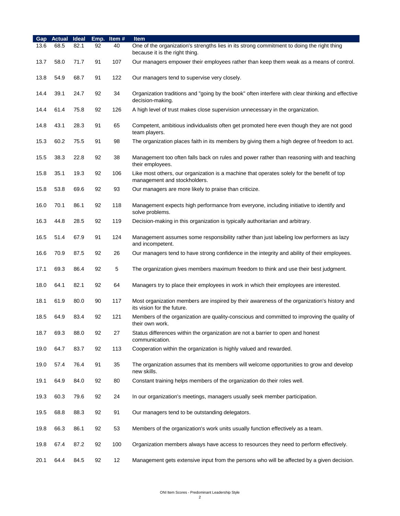| Gap  | <b>Actual</b> | Ideal | Emp. | Item# | <b>Item</b>                                                                                                                  |
|------|---------------|-------|------|-------|------------------------------------------------------------------------------------------------------------------------------|
| 13.6 | 68.5          | 82.1  | 92   | 40    | One of the organization's strengths lies in its strong commitment to doing the right thing<br>because it is the right thing. |
| 13.7 | 58.0          | 71.7  | 91   | 107   | Our managers empower their employees rather than keep them weak as a means of control.                                       |
| 13.8 | 54.9          | 68.7  | 91   | 122   | Our managers tend to supervise very closely.                                                                                 |
| 14.4 | 39.1          | 24.7  | 92   | 34    | Organization traditions and "going by the book" often interfere with clear thinking and effective<br>decision-making.        |
| 14.4 | 61.4          | 75.8  | 92   | 126   | A high level of trust makes close supervision unnecessary in the organization.                                               |
| 14.8 | 43.1          | 28.3  | 91   | 65    | Competent, ambitious individualists often get promoted here even though they are not good<br>team players.                   |
| 15.3 | 60.2          | 75.5  | 91   | 98    | The organization places faith in its members by giving them a high degree of freedom to act.                                 |
| 15.5 | 38.3          | 22.8  | 92   | 38    | Management too often falls back on rules and power rather than reasoning with and teaching<br>their employees.               |
| 15.8 | 35.1          | 19.3  | 92   | 106   | Like most others, our organization is a machine that operates solely for the benefit of top<br>management and stockholders.  |
| 15.8 | 53.8          | 69.6  | 92   | 93    | Our managers are more likely to praise than criticize.                                                                       |
| 16.0 | 70.1          | 86.1  | 92   | 118   | Management expects high performance from everyone, including initiative to identify and<br>solve problems.                   |
| 16.3 | 44.8          | 28.5  | 92   | 119   | Decision-making in this organization is typically authoritarian and arbitrary.                                               |
| 16.5 | 51.4          | 67.9  | 91   | 124   | Management assumes some responsibility rather than just labeling low performers as lazy<br>and incompetent.                  |
| 16.6 | 70.9          | 87.5  | 92   | 26    | Our managers tend to have strong confidence in the integrity and ability of their employees.                                 |
| 17.1 | 69.3          | 86.4  | 92   | 5     | The organization gives members maximum freedom to think and use their best judgment.                                         |
| 18.0 | 64.1          | 82.1  | 92   | 64    | Managers try to place their employees in work in which their employees are interested.                                       |
| 18.1 | 61.9          | 80.0  | 90   | 117   | Most organization members are inspired by their awareness of the organization's history and<br>its vision for the future.    |
| 18.5 | 64.9          | 83.4  | 92   | 121   | Members of the organization are quality-conscious and committed to improving the quality of<br>their own work.               |
| 18.7 | 69.3          | 88.0  | 92   | 27    | Status differences within the organization are not a barrier to open and honest<br>communication.                            |
| 19.0 | 64.7          | 83.7  | 92   | 113   | Cooperation within the organization is highly valued and rewarded.                                                           |
| 19.0 | 57.4          | 76.4  | 91   | 35    | The organization assumes that its members will welcome opportunities to grow and develop<br>new skills.                      |
| 19.1 | 64.9          | 84.0  | 92   | 80    | Constant training helps members of the organization do their roles well.                                                     |
| 19.3 | 60.3          | 79.6  | 92   | 24    | In our organization's meetings, managers usually seek member participation.                                                  |
| 19.5 | 68.8          | 88.3  | 92   | 91    | Our managers tend to be outstanding delegators.                                                                              |
| 19.8 | 66.3          | 86.1  | 92   | 53    | Members of the organization's work units usually function effectively as a team.                                             |
| 19.8 | 67.4          | 87.2  | 92   | 100   | Organization members always have access to resources they need to perform effectively.                                       |
| 20.1 | 64.4          | 84.5  | 92   | 12    | Management gets extensive input from the persons who will be affected by a given decision.                                   |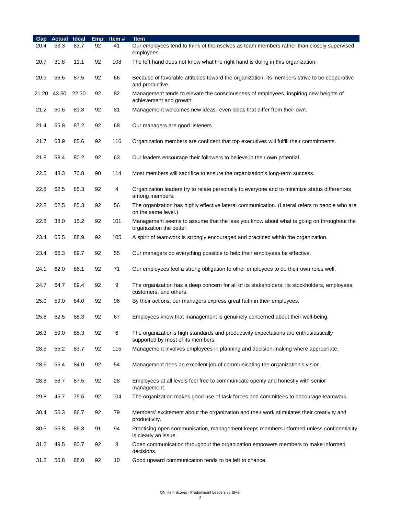| Gap   | <b>Actual</b> | Ideal | Emp. | Item# | <b>Item</b>                                                                                                               |
|-------|---------------|-------|------|-------|---------------------------------------------------------------------------------------------------------------------------|
| 20.4  | 63.3          | 83.7  | 92   | 41    | Our employees tend to think of themselves as team members rather than closely supervised<br>employees.                    |
| 20.7  | 31.8          | 11.1  | 92   | 108   | The left hand does not know what the right hand is doing in this organization.                                            |
| 20.9  | 66.6          | 87.5  | 92   | 66    | Because of favorable attitudes toward the organization, its members strive to be cooperative<br>and productive.           |
| 21.20 | 43.50         | 22.30 | 92   | 82    | Management tends to elevate the consciousness of employees, inspiring new heights of<br>achievement and growth.           |
| 21.2  | 60.6          | 81.8  | 92   | 81    | Management welcomes new ideas--even ideas that differ from their own.                                                     |
| 21.4  | 65.8          | 87.2  | 92   | 68    | Our managers are good listeners.                                                                                          |
| 21.7  | 63.9          | 85.6  | 92   | 116   | Organization members are confident that top executives will fulfill their commitments.                                    |
| 21.8  | 58.4          | 80.2  | 92   | 63    | Our leaders encourage their followers to believe in their own potential.                                                  |
| 22.5  | 48.3          | 70.8  | 90   | 114   | Most members will sacrifice to ensure the organization's long-term success.                                               |
| 22.8  | 62.5          | 85.3  | 92   | 4     | Organization leaders try to relate personally to everyone and to minimize status differences<br>among members.            |
| 22.8  | 62.5          | 85.3  | 92   | 56    | The organization has highly effective lateral communication. (Lateral refers to people who are<br>on the same level.)     |
| 22.8  | 38.0          | 15.2  | 92   | 101   | Management seems to assume that the less you know about what is going on throughout the<br>organization the better.       |
| 23.4  | 65.5          | 88.9  | 92   | 105   | A spirit of teamwork is strongly encouraged and practiced within the organization.                                        |
| 23.4  | 66.3          | 89.7  | 92   | 55    | Our managers do everything possible to help their employees be effective.                                                 |
| 24.1  | 62.0          | 86.1  | 92   | 71    | Our employees feel a strong obligation to other employees to do their own roles well.                                     |
| 24.7  | 64.7          | 89.4  | 92   | 9     | The organization has a deep concern for all of its stakeholders: its stockholders, employees,<br>customers, and others.   |
| 25.0  | 59.0          | 84.0  | 92   | 96    | By their actions, our managers express great faith in their employees.                                                    |
| 25.8  | 62.5          | 88.3  | 92   | 67    | Employees know that management is genuinely concerned about their well-being.                                             |
| 26.3  | 59.0          | 85.3  | 92   | 6     | The organization's high standards and productivity expectations are enthusiastically<br>supported by most of its members. |
| 28.5  | 55.2          | 83.7  | 92   | 115   | Management involves employees in planning and decision-making where appropriate.                                          |
| 28.6  | 55.4          | 84.0  | 92   | 54    | Management does an excellent job of communicating the organization's vision.                                              |
| 28.8  | 58.7          | 87.5  | 92   | 28    | Employees at all levels feel free to communicate openly and honestly with senior<br>management.                           |
| 29.8  | 45.7          | 75.5  | 92   | 104   | The organization makes good use of task forces and committees to encourage teamwork.                                      |
| 30.4  | 56.3          | 86.7  | 92   | 79    | Members' excitement about the organization and their work stimulates their creativity and<br>productivity.                |
| 30.5  | 55.8          | 86.3  | 91   | 94    | Practicing open communication, management keeps members informed unless confidentiality<br>is clearly an issue.           |
| 31.2  | 49.5          | 80.7  | 92   | 8     | Open communication throughout the organization empowers members to make informed<br>decisions.                            |
| 31.2  | 56.8          | 88.0  | 92   | 10    | Good upward communication tends to be left to chance.                                                                     |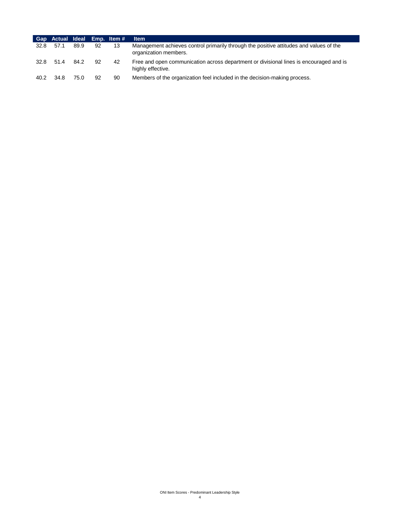|      | Gap Actual Ideal Emp. Item# |      |    |    | <b>Item</b>                                                                                                     |
|------|-----------------------------|------|----|----|-----------------------------------------------------------------------------------------------------------------|
| 32.8 | 57.1                        | 89.9 | 92 | 13 | Management achieves control primarily through the positive attitudes and values of the<br>organization members. |
| 32.8 | 51.4                        | 84.2 | 92 | 42 | Free and open communication across department or divisional lines is encouraged and is<br>highly effective.     |
| 40.2 | 34.8                        | 75.0 | 92 | 90 | Members of the organization feel included in the decision-making process.                                       |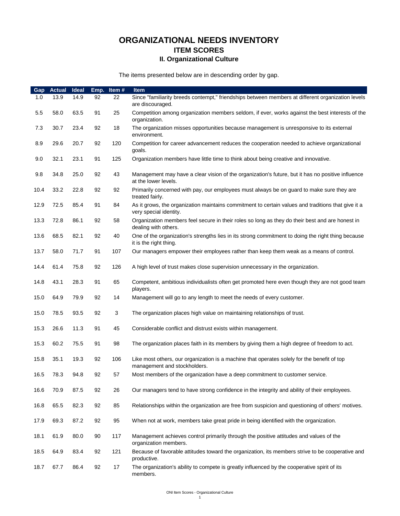### **ORGANIZATIONAL NEEDS INVENTORY ITEM SCORES II. Organizational Culture**

The items presented below are in descending order by gap.

| Gap  | <b>Actual</b> | <b>Ideal</b> | Emp. | Item# | Item                                                                                                                         |
|------|---------------|--------------|------|-------|------------------------------------------------------------------------------------------------------------------------------|
| 1.0  | 13.9          | 14.9         | 92   | 22    | Since "familiarity breeds contempt," friendships between members at different organization levels<br>are discouraged.        |
| 5.5  | 58.0          | 63.5         | 91   | 25    | Competition among organization members seldom, if ever, works against the best interests of the<br>organization.             |
| 7.3  | 30.7          | 23.4         | 92   | 18    | The organization misses opportunities because management is unresponsive to its external<br>environment.                     |
| 8.9  | 29.6          | 20.7         | 92   | 120   | Competition for career advancement reduces the cooperation needed to achieve organizational<br>goals.                        |
| 9.0  | 32.1          | 23.1         | 91   | 125   | Organization members have little time to think about being creative and innovative.                                          |
| 9.8  | 34.8          | 25.0         | 92   | 43    | Management may have a clear vision of the organization's future, but it has no positive influence<br>at the lower levels.    |
| 10.4 | 33.2          | 22.8         | 92   | 92    | Primarily concerned with pay, our employees must always be on guard to make sure they are<br>treated fairly.                 |
| 12.9 | 72.5          | 85.4         | 91   | 84    | As it grows, the organization maintains commitment to certain values and traditions that give it a<br>very special identity. |
| 13.3 | 72.8          | 86.1         | 92   | 58    | Organization members feel secure in their roles so long as they do their best and are honest in<br>dealing with others.      |
| 13.6 | 68.5          | 82.1         | 92   | 40    | One of the organization's strengths lies in its strong commitment to doing the right thing because<br>it is the right thing. |
| 13.7 | 58.0          | 71.7         | 91   | 107   | Our managers empower their employees rather than keep them weak as a means of control.                                       |
| 14.4 | 61.4          | 75.8         | 92   | 126   | A high level of trust makes close supervision unnecessary in the organization.                                               |
| 14.8 | 43.1          | 28.3         | 91   | 65    | Competent, ambitious individualists often get promoted here even though they are not good team<br>players.                   |
| 15.0 | 64.9          | 79.9         | 92   | 14    | Management will go to any length to meet the needs of every customer.                                                        |
| 15.0 | 78.5          | 93.5         | 92   | 3     | The organization places high value on maintaining relationships of trust.                                                    |
| 15.3 | 26.6          | 11.3         | 91   | 45    | Considerable conflict and distrust exists within management.                                                                 |
| 15.3 | 60.2          | 75.5         | 91   | 98    | The organization places faith in its members by giving them a high degree of freedom to act.                                 |
| 15.8 | 35.1          | 19.3         | 92   | 106   | Like most others, our organization is a machine that operates solely for the benefit of top<br>management and stockholders.  |
| 16.5 | 78.3          | 94.8         | 92   | 57    | Most members of the organization have a deep commitment to customer service.                                                 |
| 16.6 | 70.9          | 87.5         | 92   | 26    | Our managers tend to have strong confidence in the integrity and ability of their employees.                                 |
| 16.8 | 65.5          | 82.3         | 92   | 85    | Relationships within the organization are free from suspicion and questioning of others' motives.                            |
| 17.9 | 69.3          | 87.2         | 92   | 95    | When not at work, members take great pride in being identified with the organization.                                        |
| 18.1 | 61.9          | 80.0         | 90   | 117   | Management achieves control primarily through the positive attitudes and values of the<br>organization members.              |
| 18.5 | 64.9          | 83.4         | 92   | 121   | Because of favorable attitudes toward the organization, its members strive to be cooperative and<br>productive.              |
| 18.7 | 67.7          | 86.4         | 92   | 17    | The organization's ability to compete is greatly influenced by the cooperative spirit of its<br>members.                     |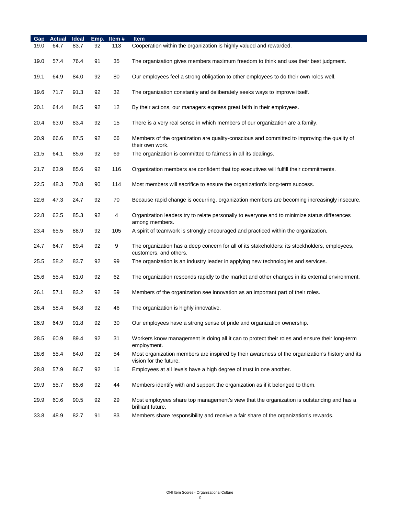| Gap  | <b>Actual</b> | Ideal | Emp. | Item# | <b>Item</b>                                                                                                               |
|------|---------------|-------|------|-------|---------------------------------------------------------------------------------------------------------------------------|
| 19.0 | 64.7          | 83.7  | 92   | 113   | Cooperation within the organization is highly valued and rewarded.                                                        |
| 19.0 | 57.4          | 76.4  | 91   | 35    | The organization gives members maximum freedom to think and use their best judgment.                                      |
| 19.1 | 64.9          | 84.0  | 92   | 80    | Our employees feel a strong obligation to other employees to do their own roles well.                                     |
| 19.6 | 71.7          | 91.3  | 92   | 32    | The organization constantly and deliberately seeks ways to improve itself.                                                |
| 20.1 | 64.4          | 84.5  | 92   | 12    | By their actions, our managers express great faith in their employees.                                                    |
| 20.4 | 63.0          | 83.4  | 92   | 15    | There is a very real sense in which members of our organization are a family.                                             |
| 20.9 | 66.6          | 87.5  | 92   | 66    | Members of the organization are quality-conscious and committed to improving the quality of<br>their own work.            |
| 21.5 | 64.1          | 85.6  | 92   | 69    | The organization is committed to fairness in all its dealings.                                                            |
| 21.7 | 63.9          | 85.6  | 92   | 116   | Organization members are confident that top executives will fulfill their commitments.                                    |
| 22.5 | 48.3          | 70.8  | 90   | 114   | Most members will sacrifice to ensure the organization's long-term success.                                               |
| 22.6 | 47.3          | 24.7  | 92   | 70    | Because rapid change is occurring, organization members are becoming increasingly insecure.                               |
| 22.8 | 62.5          | 85.3  | 92   | 4     | Organization leaders try to relate personally to everyone and to minimize status differences<br>among members.            |
| 23.4 | 65.5          | 88.9  | 92   | 105   | A spirit of teamwork is strongly encouraged and practiced within the organization.                                        |
| 24.7 | 64.7          | 89.4  | 92   | 9     | The organization has a deep concern for all of its stakeholders: its stockholders, employees,<br>customers, and others.   |
| 25.5 | 58.2          | 83.7  | 92   | 99    | The organization is an industry leader in applying new technologies and services.                                         |
| 25.6 | 55.4          | 81.0  | 92   | 62    | The organization responds rapidly to the market and other changes in its external environment.                            |
| 26.1 | 57.1          | 83.2  | 92   | 59    | Members of the organization see innovation as an important part of their roles.                                           |
| 26.4 | 58.4          | 84.8  | 92   | 46    | The organization is highly innovative.                                                                                    |
| 26.9 | 64.9          | 91.8  | 92   | 30    | Our employees have a strong sense of pride and organization ownership.                                                    |
| 28.5 | 60.9          | 89.4  | 92   | 31    | Workers know management is doing all it can to protect their roles and ensure their long-term<br>employment.              |
| 28.6 | 55.4          | 84.0  | 92   | 54    | Most organization members are inspired by their awareness of the organization's history and its<br>vision for the future. |
| 28.8 | 57.9          | 86.7  | 92   | 16    | Employees at all levels have a high degree of trust in one another.                                                       |
| 29.9 | 55.7          | 85.6  | 92   | 44    | Members identify with and support the organization as if it belonged to them.                                             |
| 29.9 | 60.6          | 90.5  | 92   | 29    | Most employees share top management's view that the organization is outstanding and has a<br>brilliant future.            |
| 33.8 | 48.9          | 82.7  | 91   | 83    | Members share responsibility and receive a fair share of the organization's rewards.                                      |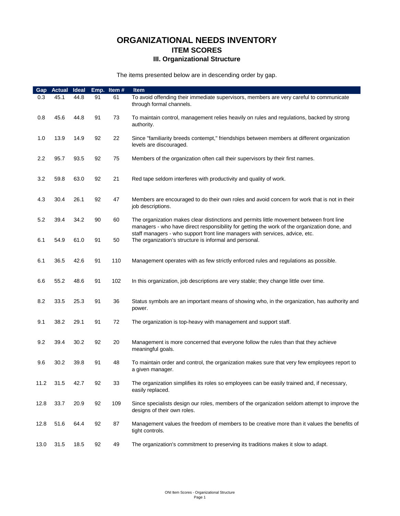### **ORGANIZATIONAL NEEDS INVENTORY ITEM SCORES III. Organizational Structure**

The items presented below are in descending order by gap.

| Gap  | <b>Actual</b> | <b>Ideal</b> |    | Emp. Item# | Item                                                                                                                                                                                     |
|------|---------------|--------------|----|------------|------------------------------------------------------------------------------------------------------------------------------------------------------------------------------------------|
| 0.3  | 45.1          | 44.8         | 91 | 61         | To avoid offending their immediate supervisors, members are very careful to communicate<br>through formal channels.                                                                      |
| 0.8  | 45.6          | 44.8         | 91 | 73         | To maintain control, management relies heavily on rules and regulations, backed by strong<br>authority.                                                                                  |
| 1.0  | 13.9          | 14.9         | 92 | 22         | Since "familiarity breeds contempt," friendships between members at different organization<br>levels are discouraged.                                                                    |
| 2.2  | 95.7          | 93.5         | 92 | 75         | Members of the organization often call their supervisors by their first names.                                                                                                           |
| 3.2  | 59.8          | 63.0         | 92 | 21         | Red tape seldom interferes with productivity and quality of work.                                                                                                                        |
| 4.3  | 30.4          | 26.1         | 92 | 47         | Members are encouraged to do their own roles and avoid concern for work that is not in their<br>job descriptions.                                                                        |
| 5.2  | 39.4          | 34.2         | 90 | 60         | The organization makes clear distinctions and permits little movement between front line<br>managers - who have direct responsibility for getting the work of the organization done, and |
| 6.1  | 54.9          | 61.0         | 91 | 50         | staff managers - who support front line managers with services, advice, etc.<br>The organization's structure is informal and personal.                                                   |
| 6.1  | 36.5          | 42.6         | 91 | 110        | Management operates with as few strictly enforced rules and regulations as possible.                                                                                                     |
| 6.6  | 55.2          | 48.6         | 91 | 102        | In this organization, job descriptions are very stable; they change little over time.                                                                                                    |
| 8.2  | 33.5          | 25.3         | 91 | 36         | Status symbols are an important means of showing who, in the organization, has authority and<br>power.                                                                                   |
| 9.1  | 38.2          | 29.1         | 91 | 72         | The organization is top-heavy with management and support staff.                                                                                                                         |
| 9.2  | 39.4          | 30.2         | 92 | 20         | Management is more concerned that everyone follow the rules than that they achieve<br>meaningful goals.                                                                                  |
| 9.6  | 30.2          | 39.8         | 91 | 48         | To maintain order and control, the organization makes sure that very few employees report to<br>a given manager.                                                                         |
| 11.2 | 31.5          | 42.7         | 92 | 33         | The organization simplifies its roles so employees can be easily trained and, if necessary,<br>easily replaced.                                                                          |
| 12.8 | 33.7          | 20.9         | 92 | 109        | Since specialists design our roles, members of the organization seldom attempt to improve the<br>designs of their own roles.                                                             |
| 12.8 | 51.6          | 64.4         | 92 | 87         | Management values the freedom of members to be creative more than it values the benefits of<br>tight controls.                                                                           |
| 13.0 | 31.5          | 18.5         | 92 | 49         | The organization's commitment to preserving its traditions makes it slow to adapt.                                                                                                       |